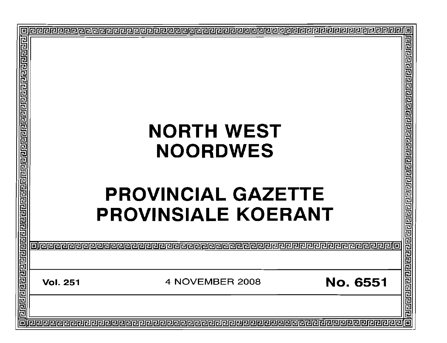| 回                                                                            |                 |                                                         |                                                                                                     |  |
|------------------------------------------------------------------------------|-----------------|---------------------------------------------------------|-----------------------------------------------------------------------------------------------------|--|
|                                                                              |                 |                                                         |                                                                                                     |  |
|                                                                              |                 | <b>NORTH WEST</b><br><b>NOORDWES</b>                    |                                                                                                     |  |
| <u> बितारावाचारावाचारावाचारावाचारावाचारावाचारावाचारावाचारावाचारावाचारावा</u> |                 | <b>PROVINCIAL GAZETTE</b><br><b>PROVINSIALE KOERANT</b> | त्वरागये शेखाने प्रविणि ग्रेज ग्रेज ग्रेज ग्रेज ग्रेज ग्रेज ग्रेज ग्रेज ग्रेज ग्रेज ग्रेज ग्रेज ग्र |  |
|                                                                              |                 |                                                         |                                                                                                     |  |
| 回                                                                            | <b>Vol. 251</b> | 4 NOVEMBER 2008                                         | <b>No. 6551</b>                                                                                     |  |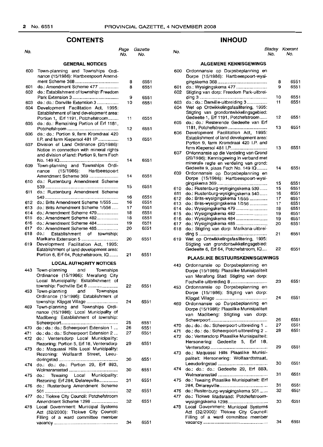## **CONTENTS INHOUD**

| No. |                                                                                 | Page<br>No. | Gazette<br>No. |
|-----|---------------------------------------------------------------------------------|-------------|----------------|
|     | <b>GENERAL NOTICES</b>                                                          |             |                |
| 600 | Town-planning and Townships Ordi-<br>nance (15/1986): Hartbeespoort Amend-      |             |                |
|     |                                                                                 | 8           | 6551           |
| 601 | do.: Amendment Scheme 477                                                       | 8           | 6551           |
| 602 | do.: Establishment of township: Freedom                                         |             |                |
|     |                                                                                 | 9           | 6551           |
| 603 | do.: do.: Danville Extension 3                                                  | 10          | 6551           |
| 604 | Development Facilitation Act, 1995:                                             |             |                |
|     | Establishment of land development area:                                         |             |                |
|     | Portion 1, Erf 1191, Potchefstroom                                              | 11          | 6551           |
| 605 | do.: do.: Remaining Portion of Erf 1181,                                        |             |                |
|     |                                                                                 | 12          | 6551           |
| 606 | do.: do.: Portion 9, farm Kromdraai 420                                         |             |                |
|     | I.P. and farm Kiepersol 481 IP                                                  | 13          | 6551           |
| 607 | Division of Land Ordinance (20/1986):                                           |             |                |
|     | Notice in connection with mineral rights                                        |             |                |
|     | and division of land: Portion 9, farm Foch                                      |             |                |
|     |                                                                                 | 14          | 6551           |
| 609 | Town-planning and Townships Ordi-                                               |             |                |
|     | nance (15/1986): Hartbeespoort                                                  |             |                |
|     | Amendment Scheme 369                                                            | 14          | 6551           |
| 610 | do.: Rustenburg Amendment Scheme                                                |             |                |
|     |                                                                                 | 15          | 6551           |
| 611 | do.: Rustenburg Amendment Scheme                                                |             |                |
|     |                                                                                 | 16          | 6551           |
| 612 | do.: Brits Amendment Scheme 1/555                                               | 16          | 6551           |
| 613 | do.: Brits Amendment Scheme 1/556                                               | 17          | 6551           |
| 614 | do.: Amendment Scheme 479                                                       | 18          | 6551           |
| 615 | do.: Amendment Scheme 482                                                       | 18          | 6551           |
| 616 | do.: Amendment Scheme 484                                                       | 19          | 6551           |
| 617 | do.: Amendment Scheme 485                                                       | 20          | 6551           |
| 618 | Establishment of township:<br>do.:                                              |             |                |
|     | Marikana Extension 5                                                            | 20          | 6551           |
| 619 | Development Facilitation Act, 1995:                                             |             |                |
|     | Establishment of land development area:<br>Portion 6, Erf 64, Potchefstroom, IQ | 21          | 6551           |
|     |                                                                                 |             |                |
|     | <b>LOCAL AUTHORITY NOTICES</b>                                                  |             |                |
| 443 | Townships<br>Town-planning and                                                  |             |                |
|     | Ordinance (15/1986): Merafong City                                              |             |                |
|     | Local Municipality: Establishment of                                            |             |                |
|     | township: Fochville Ext 8                                                       | 22          | 6551           |
| 453 | Town-planning and<br>Townships                                                  |             |                |
|     | Ordinance (15/1986): Establishment of                                           |             |                |
|     | township: Klipgat Village                                                       | 24          | 6551           |
| 469 | Town-planning and Townships Ordi-                                               |             |                |
|     | nance (15/1986): Local Municipality of                                          |             |                |
|     | Madibeng: Establishment of township:                                            |             |                |
|     |                                                                                 | 25          | 6551           |
| 470 | do.: do.: do.: Scheerpoort Extension 1                                          | 26          | 6551           |
| 471 | do.: do.: do.: Scheerpoort Extension 2                                          | 27          | 6551           |
| 472 | do.: Ventersdorp Local Municipality:                                            |             |                |
|     | Rezoning: Portion 5, Erf 18, Ventersdorp                                        | 29          | 6551           |
| 473 | do.: Maquassi Hills Local Municipality:                                         |             |                |
|     | Rezoning: Wolfaardt Street, Leeu-                                               | 30          | 6551           |
| 474 | do.: do.: do.: Portion 29, Erf 883,                                             |             |                |
|     |                                                                                 | 30          | 6551           |
| 475 | Tswaing Local Municipality:<br>do.:                                             |             |                |
|     | Rezoning: Erf 284, Delareyville                                                 | 31          | 6551           |
| 476 | do.: Rustenburg Amendment Scheme                                                |             |                |
|     |                                                                                 | 32          | 6551           |
| 477 | do.: Tlokwe City Council: Potchefstroom                                         |             |                |
|     | Amendment Scheme 1298                                                           | 32          | 6551           |
| 478 | Local Government: Municipal Systems                                             |             |                |
|     | Act (32/2000): Tlokwe City Council:                                             |             |                |
|     | Filling of a ward committee member                                              |             |                |
|     |                                                                                 | 34          | 6551           |
|     |                                                                                 |             |                |

#### No. No. No. Bladsy Koerant No. No.

## **ALGEMENE KENNISGEWINGS**

| 600 | Ordonnansie op Dorpsbeplanning en<br>Dorpe (15/1986): Hartbeespoort-wysi- |          |              |
|-----|---------------------------------------------------------------------------|----------|--------------|
|     |                                                                           | 8        | 6551         |
| 601 | do.: Wysigingskema 477                                                    | 9        | 6551         |
| 602 | Stigting van dorp: Freedom Park-uitbrei-                                  |          |              |
|     |                                                                           | 10       | 6551         |
| 603 | do.: do.: Danville-uitbreiding 3                                          | 11       | 6551         |
| 604 | Wet op Ontwikkelingsfasilitering, 1995:                                   |          |              |
|     | Stigting van grondontwikkelingsgebied:                                    |          |              |
|     | Gedeelte 1, Erf 1191, Potchefstroom                                       | 12       | 6551         |
| 605 | do.: do.: Resterende Gedeelte van Erf                                     |          |              |
|     | 1181, Potchefstroom                                                       | 13       | 6551         |
|     | Development Facilitation Act, 1995:                                       |          |              |
| 606 | Establishment of land development area:                                   |          |              |
|     | Portion 9, farm Kromdraai 420 I.P. and                                    |          |              |
|     |                                                                           | 13       | 6551         |
|     | farm Kiepersol 481 I.P                                                    |          |              |
| 607 | Ordonnansie op die Verdeling van Grond                                    |          |              |
|     | (20/1986): Kennisgewing in verband met                                    |          |              |
|     | minerale regte en verdeling van grond:                                    | 14       | 6551         |
|     | Gedeelte 9, plaas Foch No. 149 IQ                                         |          |              |
| 609 | Ordonnansie op Dorpsbeplanning en                                         |          |              |
|     | Dorpe (15/1986): Hartbeespoort-wysi-                                      | 15       | 6551         |
|     |                                                                           | 15       | 6551         |
| 610 | do.: Rustenburg-wysigingskema 539                                         |          | 6551         |
| 611 | do.: Rustenburg-wysigingskema 540                                         | 16<br>17 | 6551         |
| 612 | do.: Brits-wysigingskema 1/555                                            | 17       | 6551         |
| 613 | do.: Brits-wysigingskema 1/556                                            | 18       | 6551         |
| 614 | do.: Wysigingskema 479                                                    |          | 6551         |
| 615 | do.: Wysigingskema 482                                                    | 19       |              |
| 616 | do.: Wysigingskema 484                                                    | 19<br>20 | 6551<br>6551 |
| 617 | do.: Wysigingskema 485                                                    |          |              |
| 618 | do.: Stigting van dorp: Marikana-uitbrei-                                 |          |              |
|     |                                                                           | 21       | 6551         |
| 619 | Wet op Ontwikkelingsfasilitering, 1995:                                   |          |              |
|     | Stigting van grondontwikkelingsgebied:                                    |          |              |
|     | Gedeelte 6, Erf 64, Potchefstroom, IQ                                     | 22       | 6551         |
|     |                                                                           |          |              |
|     | <b>PLAASLIKE BESTUURSKENNISGEWINGS</b>                                    |          |              |
| 443 | Ordonnansie op Dorpsbeplanning en                                         |          |              |
|     | Dorpe (15/1986): Plaaslike Munisipaliteit                                 |          |              |
|     |                                                                           |          |              |
|     | van Merafong Stad: Stigting van dorp:                                     | 23       | 6551         |
|     | Fochville-uitbreiding 8                                                   |          |              |
| 453 | Ordonnansie op Dorpsbeplanning en                                         |          |              |
|     | Dorpe (15/1986): Stigting van dorp:                                       |          |              |
|     |                                                                           | 24       | 6551         |
| 469 | Ordonnansie op Dorpsbeplanning en                                         |          |              |
|     | Dorpe (15/1986): Plaaslike Munisipaliteit                                 |          |              |
|     | van Madibeng: Stigting van dorp:                                          |          |              |
|     |                                                                           | 26       | 6551         |
| 470 | do.: do.: do.: Scheerpoort-uitbreiding 1                                  | 27       | 6551         |
| 471 | do.: do.: do.: Scheerpoort-uitbreiding 2                                  | 28       | 6551         |
| 472 | do.: Ventersdorp Plaaslike Munisipaliteit:                                |          |              |
|     | Hersonering: Gedeelte 5, Erf 18,                                          |          |              |
|     |                                                                           | 29       | 6551         |
|     |                                                                           |          |              |
| 473 | do.: Maquassi Hills Plaaslike Munisi-                                     |          |              |
|     | paliteit: Hersonering: Wolfaardtstraat,                                   |          |              |
|     |                                                                           | 30       | 6551         |
| 474 | do.: do.: do.: Gedeelte 29, Erf 883,                                      |          |              |
|     |                                                                           | 31       | 6551         |
| 475 | do.: Tswaing Plaaslike Munisipaliteit: Erf                                |          |              |
|     |                                                                           | 31       | 6551         |
| 476 | do.: Rustenburg-wysigingskema 501                                         | 32       | 6551         |
| 477 | do.: Tlokwe Stadsraad: Potchefstroom-                                     |          |              |
|     | wysigingskema 1298                                                        | 33       | 6551         |
| 478 | Local Government: Municipal Systems                                       |          |              |
|     | Act (32/2000): Tlokwe City Council:                                       |          |              |
|     | Filling of a ward committee member                                        | 34       | 6551         |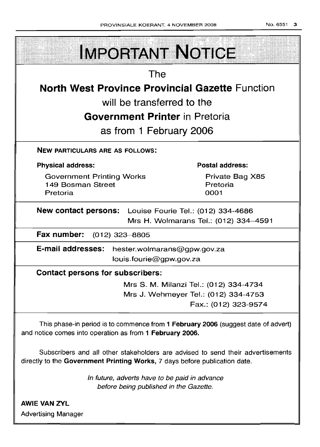| <b>IMPORTANT NOTICE</b>                                                                                                                                       |  |  |  |  |
|---------------------------------------------------------------------------------------------------------------------------------------------------------------|--|--|--|--|
| <b>The</b>                                                                                                                                                    |  |  |  |  |
| <b>North West Province Provincial Gazette Function</b>                                                                                                        |  |  |  |  |
| will be transferred to the                                                                                                                                    |  |  |  |  |
| <b>Government Printer</b> in Pretoria                                                                                                                         |  |  |  |  |
| as from 1 February 2006                                                                                                                                       |  |  |  |  |
| <b>NEW PARTICULARS ARE AS FOLLOWS:</b>                                                                                                                        |  |  |  |  |
| <b>Postal address:</b><br><b>Physical address:</b>                                                                                                            |  |  |  |  |
| <b>Government Printing Works</b><br>Private Bag X85<br>149 Bosman Street<br>Pretoria<br>Pretoria<br>0001                                                      |  |  |  |  |
| <b>New contact persons:</b> Louise Fourie Tel.: (012) 334-4686<br>Mrs H. Wolmarans Tel.: (012) 334-4591                                                       |  |  |  |  |
| Fax number: (012) 323-8805                                                                                                                                    |  |  |  |  |
| E-mail addresses:<br>hester.wolmarans@gpw.gov.za<br>louis.fourie@gpw.gov.za                                                                                   |  |  |  |  |
| <b>Contact persons for subscribers:</b>                                                                                                                       |  |  |  |  |
| Mrs S. M. Milanzi Tel.: (012) 334-4734                                                                                                                        |  |  |  |  |
| Mrs J. Wehmeyer Tel.: (012) 334-4753<br>Fax.: (012) 323-9574                                                                                                  |  |  |  |  |
| This phase-in period is to commence from 1 February 2006 (suggest date of advert)<br>and notice comes into operation as from 1 February 2006.                 |  |  |  |  |
| Subscribers and all other stakeholders are advised to send their advertisements<br>directly to the Government Printing Works, 7 days before publication date. |  |  |  |  |
| In future, adverts have to be paid in advance<br>before being published in the Gazette.                                                                       |  |  |  |  |

AWIE VAN ZVL Advertising Manager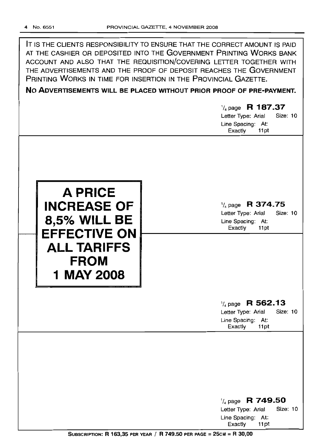| NO ADVERTISEMENTS WILL BE PLACED WITHOUT PRIOR PROOF OF PRE-PAYMENT.       |
|----------------------------------------------------------------------------|
| PRINTING WORKS IN TIME FOR INSERTION IN THE PROVINCIAL GAZETTE.            |
| THE ADVERTISEMENTS AND THE PROOF OF DEPOSIT REACHES THE GOVERNMENT         |
| ACCOUNT AND ALSO THAT THE REQUISITION/COVERING LETTER TOGETHER WITH        |
| AT THE CASHIER OR DEPOSITED INTO THE GOVERNMENT PRINTING WORKS BANK        |
| IT IS THE CLIENTS RESPONSIBILITY TO ENSURE THAT THE CORRECT AMOUNT IS PAID |

'/4 page **R 187.37** Letter Type: Arial Size: 10 Line Spacing: At: Exactly 11pt **A PRICE INCREASE OF 8,5% WILL BE EFFECTIVE ON ALL TARIFFS FROM 1** MAY 2008 '/4 page **R 374.75** Letter Type: Arial Size: 10 Line Spacing: At: Exactly 11pt '/4 page **R 562.13** Letter Type: Arial Size: 10 Line Spacing: At: Exactly 11pt '/4 page **R 749.50**

> Exactly 11 pt SUBSCRIPTION: R 163,35 PER YEAR / R 749.50 PER PAGE = 25cM = R 30,00

Letter Type: Arial Size: 10

Line Spacing: At: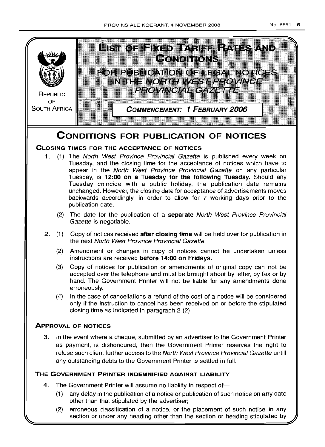

## **CONDITIONS FOR PUBLICATION OF NOTICES**

## **CLOSING TIMES FOR THE ACCEPTANCE OF NOTICES**

- 1. (1) The North West Province Provincial Gazette is published every week on Tuesday, and the closing time for the acceptance of notices which have to appear in the North West Province Provincial Gazette on any particular Tuesday, is **12:00 on a Tuesday for the following Tuesday.** Should any Tuesday coincide with a public holiday, the publication date remains unchanged. However, the closing date for acceptance of advertisements moves backwards accordingly, in order to allow for 7 working days prior to the publication date.
	- (2) The date for the publication of a **separate** North West Province Provincial Gazette is negotiable.
- 2. (1) Copy of notices received **after closing time** will be held over for publication in the next North West Province Provincial Gazette.
	- (2) Amendment or changes in copy of notices cannot be undertaken unless instructions are received **before 14:00 on Fridays.**
	- (3) Copy of notices for publication or amendments of original copy can not be accepted over the telephone and must be brought about by letter, by fax or by hand. The Government Printer will not be liable for any amendments done erroneously.
	- (4) In the case of cancellations a refund of the cost of a notice will be considered only if the instruction to cancel has been received on or before the stipulated closing time as indicated in paragraph 2 (2).

## **ApPROVAL OF NOTICES**

3. In the event where a cheque, submitted by an advertiser to the Government Printer as payment, is dishonoured, then the Government Printer reserves the right to refuse such client further access to the North West Province Provincial Gazette untill any outstanding debts to the Government Printer is settled in full.

## **THE GOVERNMENT PRINTER INDEMNIFIED AGAINST LIABILITY**

- 4. The Government Printer will assume no liability in respect of-
	- (1) any delay in the publication of a notice or publication of such notice on any date other than that stipulated by the advertiser;
	- (2) erroneous classification of a notice, or the placement of such notice in any section or under any heading other than the section or heading stipulated by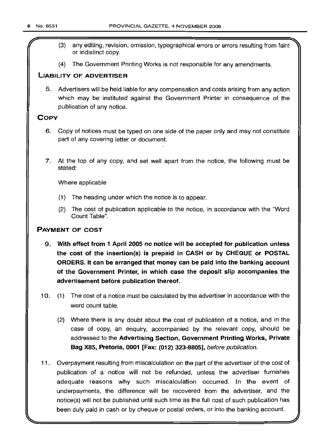- (3) any editing, revision, omission, typographical errors or errors resulting from faint or indistinct copy.
- (4) The Government Printing Works is not responsible for any amendments.

## LIABILITY OF ADVERTISER

5. Advertisers will be held liable for any compensation and costs arising from any action which may be instituted against the Government Printer in consequence of the publication of any notice.

## **COPY**

- 6. Copy of notices must be typed on one side of the paper only and may not constitute part of any covering letter or document.
- 7. At the top of any copy, and set well apart from the notice, the following must be stated:

Where applicable

- (1) The heading under which the notice is to appear.
- (2) The cost of publication applicable to the notice, in accordance with the "Word Count Table".

## PAYMENT OF COST

- 9. With effect from 1 April 2005 no notice will be accepted for publication unless the cost of the insertion(s) is prepaid in CASH or by CHEQUE or POSTAL ORDERS. It can be arranged that money can be paid into the banking account of the Government Printer, in which case the deposit slip accompanies the advertisement before publication thereof.
- 10. (1) The cost of a notice must be calculated by the advertiser in accordance with the word count table.
	- (2) Where there is any doubt about the cost of publication of a notice, and in the case of copy, an enquiry, accompanied by the relevant copy, should be addressed to the Advertising Section, Government Printing Works, Private Bag X85, Pretoria, 0001 [Fax: (012) 323-8805], before publication.
- 11. Overpayment resulting from miscalculation on the part of the advertiser of the cost of publication of a notice will not be refunded, unless the advertiser furnishes adequate reasons why such miscalculation occurred. In the event of underpayments, the difference will be recovered from the advertiser, and the notice(s) will not be published until such time as the full cost of such publication has been duly paid in cash or by cheque or postal orders, or into the banking account.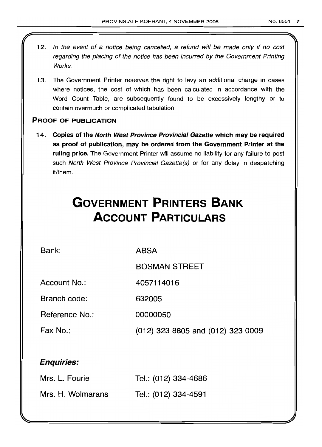- 12. In the event of a notice being cancelled, a refund will be made only if no cost regarding the placing of the notice has been incurred by the Government Printing Works.
- 13. The Government Printer reserves the right to levy an additional charge in cases where notices, the cost of which has been calculated in accordance with the Word Count Table, are subsequently found to be excessively lengthy or to contain overmuch or complicated tabulation.

## PROOF OF PUBLICATION

14. Copies of the North West Province Provincial Gazette which may be required as proof of publication, may be ordered from the Government Printer at the ruling price. The Government Printer will assume no liability for any failure to post such North West Province Provincial Gazette(s) or for any delay in despatching it/them.

# **GOVERNMENT PRINTERS BANK ACCOUNT PARTICULARS**

Bank:

ABSA

BOSMAN STREET

Account No.: 4057114016

Branch code: 632005

Reference No.: 00000050

Fax No.: (012) 323 8805 and (012) 323 0009

## Enquiries:

| Mrs. L. Fourie    | Tel.: (012) 334-4686 |
|-------------------|----------------------|
| Mrs. H. Wolmarans | Tel.: (012) 334-4591 |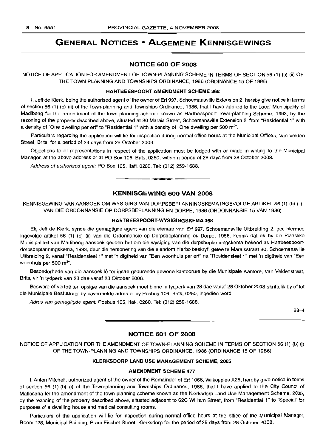## **GENERAL NOTICES • ALGEMENE KENNISGEWINGS**

## **NOTICE 600 OF 2008**

NOTICE OF APPLICATION FOR AMENDMENT OF TOWN-PLANNING SCHEME IN TERMS OF SECTION 56 (1) (b) (ii) OF THE TOWN-PLANNING AND TOWNSHIPS ORDINANCE, 1986 (ORDINANCE 15 OF 1986)

#### **HARTBEESPOORT AMENDMENT SCHEME 368**

I, Jeff de Klerk, being the authorised agent of the owner of Erf 997, Schoemansville Extension 2, hereby give notice in terms of section 56 (1) (b) (ii) of the Town-planning and Townships Ordinance, 1986, that I have applied to the Local Municipality of Madibeng for the amendment of the town-planning scheme known as Hartbeespoort Town-planning Scheme, 1993, by the rezoning of the property described above, situated at 80 Marais Street, Schoemansville Extension 2, from "Residential 1" with a density of "One dwelling per erf" to "Residential 1" with a density of "One dwelling per 500 m<sup>2</sup>".

Particulars regarding the application will lie for inspection during normal office hours at the Municipal Offices, Van Velden Street, Brits, for a period of 28 days from 28 October 2008.

Objections to or representations in respect of the application must be lodged with or made in writing to the Municipal Manager, at the above address or at PO Box 106, Brits, 0250, within a period of 28 days from 28 October 2008.

Address of authorised agent: PO Box 105, Ifafi, 0260. Tel: (012) 259-1688.

## **KENNISGEWING 600 VAN 2008**

**• •**

KENNISGEWING VAN AANSOEK OM WYSIGING VAN DORPSBEPLANNINGSKEMA INGEVOLGE ARTIKEL 56 (1) (b) (ii) VAN DIE ORDONNANSIE OP DORPSBEPLANNING EN DORPE, 1986 (ORDONNANSIE 15 VAN 1986)

## **HARTBEESPOORT-WYSIGINGSKEMA 368**

Ek, Jeff de Klerk, synde die gemagtigde agent van die eienaar van Erf 997, Schoemansville Uitbreiding 2, gee hiermee ingevolge artikel 56 (1) (b) (ii) van die Ordonnansie op Dorpsbeplanning en Dorpe, 1986, kennis dat ek by die Plaaslike Munisipaliteit van Madibeng aansoek gedoen het om die wysiging van die dorpsbeplanningskema bekend as Hartbeespoortdorpsbeplanningskema, 1993, deur die hersonering van die eiendom hierbo beskryf, gelee te Maraisstraat 80, Schoemansville Uitbreiding 2, vanaf "Residensieel 1" met 'n digtheid van "Een woonhuis per erf' na "Residensieel 1" met 'n digtheid van "Een woonhuis per 500 m<sup>2</sup>".

Besonderhede van die aansoek lê ter insae gedurende gewone kantoorure by die Munisipale Kantore, Van Veldenstraat, Brits, vir 'n tydperk van 28 dae vanaf 28 Oktober 2008.

Besware of vertoë ten opsigte van die aansoek moet binne 'n tydperk van 28 dae vanaf 28 Oktober 2008 skriftelik by of tot die Munisipale Bestuurder by bovermelde adres of by Posbus 106, Brits, 0250, ingedien word.

Adres van gemagtigde agent: Posbus 105, Ifafi, 0260. Tel: (012) 259-1688.

28-4

## **NOTICE 601 OF 2008**

NOTICE OF APPLICATION FOR THE AMENDMENT OF TOWN-PLANNING SCHEME IN TERMS OF SECTION 56 (1) (b) (i) OF THE TOWN-PLANNING AND TOWNSHIPS ORDINANCE, 1986 (ORDINANCE 15 OF 1986)

#### **KLERKSDORP LAND USE MANAGEMENT SCHEME, 2005**

#### **AMENDMENT SCHEME 477**

I, Anton Mitchell, authorized agent of the owner of the Remainder of Erf 1066, Wilkoppies X26, hereby give notice in terms of section 56 (1) (b) (i) of the Town-planning and Townships Ordinance, 1986, that I have applied to the City Council of Matlosana for the amendment of the town-planning scheme known as the Klerksdorp Land Use Management Scheme, 2005, by the rezoning of the property described above, situated adjacent to 62C William Street, from "Residential 1" to "Special" for purposes of a dwelling house and medical consulting rooms.

Particulars of the application will lie for inspection during normal office hours at the office of the Municipal Manager, Room 128, Municipal Building, Bram Fischer Street, Klerksdorp for the period of 28 days from 28 October 2008.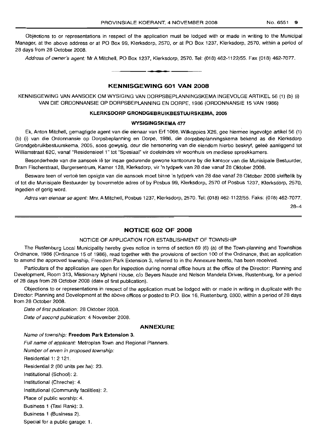Objections to or representations in respect of the application must be lodged with or made in writing to the Municipal Manager, at the above address or at PO Box 99, Klerksdorp, 2570, or at PO Box 1237, Klerksdorp, 2570, within a period of 28 days from 28 October 2008.

Address of owner's agent: Mr A Mitchell, PO Box 1237, Klerksdorp, 2570. Tel: (018) 462-1122/55. Fax (018) 462-7077.

## **KENNISGEWING 601 VAN 2008**

**-**

KENNISGEWING VAN AANSOEK OM WYSIGING VAN DORPSBEPLANNINGSKEMA INGEVOLGE ARTIKEL 56 (1) (b) (i) VAN DIE ORDONNANSIE OP DORPSBEPLANNING EN DORPE, 1986 (ORDONNANSIE 15 VAN 1986)

## **KLERKSDORP GRONDGEBRUIKBESTUURSKEMA, 2005**

## **WYSIGINGSKEMA 477**

Ek, Anton Mitchell, gemagtigde agent van die eienaar van Erf 1066, Wilkoppies X26, gee hiermee ingevolge artikel 56 (1) (b) (i) van die Ordonnansie op Dorpsbeplanning en Dorpe, 1986, die dorpsbeplanningskema bekend as die Klerksdorp Grondgebruikbestuurskema, 2005, soos gewysig, deur die hersonering van die eiendom hierbo beskryf, gelee aanliggend tot Williamstraat 62C, vanaf "Residensieel 1" tot "Spesiaal" vir doeleindes vir woonhuis en mediese spreekkamers.

Besonderhede van die aansoek Iê ter insae gedurende gewone kantoorure by die kantoor van die Munisipale Bestuurder, Bram Fischerstraat, Burgersentrum, Kamer 128, Klerksdorp, vir 'n tydperk van 28 dae vanaf 28 Oktober 2008.

Besware teen of vertoë ten opsigte van die aansoek moet binne 'n tydperk van 28 dae vanaf 28 Oktober 2008 skriftelik by of tot die Munisipale Bestuurder by bovermelde adres of by Posbus 99, Klerksdorp, 2570 of Posbus 1237, Klerksdorp, 2570, ingedien of gerig word.

Adres van eienaar se agent: Mnr. A Mitchell, Posbus 1237, Klerksdorp, 2570. Tel: (018) 462-1122/55. Faks: (018) 462-7077.

28-4

## **NOTICE 602 OF 2008**

#### NOTICE OF APPLICATION FOR ESTABLISHMENT OF TOWNSHIP

The Rustenburg Local Municipality hereby gives notice in terms of section 69 (6) (a) of the Town-planning and Townships Ordinance, 1986 (Ordinance 15 of 1986), read together with the provisions of section 100 of the Ordinance, that an application to amend the approved township, Freedom Park Extension 3, referred to in the Annexure hereto, has been received.

Particulars of the application are open for inspection during normal office hours at the office of the Director: Planning and Development, Room 313, Missionary Mpheni House, c/o Beyers Naude and Nelson Mandela Drives, Rustenburg, for a period of 28 days from 28 October 2008 (date of first publication).

Objections to or representations in respect of the application must be lodged with or made in writing in duplicate with the Director: Planning and Development at the above offices or posted to P.O. Box 16, Rustenburg, 0300, within a period of 28 days from 28 October 2008.

Date of first publication: 28 Oktober 2008.

Date of second publication: 4 November 2008.

## **ANNEXURE**

## Name of township: **Freedom Park Extension** 3.

Full name of applicant: Metroplan Town and Regional Planners.

Number of erven in proposed township:

Residential 1: 2 121.

Residential 2 (80 units per hal: 23.

Institutional (School): 2.

Institutional (Chreche): 4.

Institutional (Community facilities): 2.

Place of public worship: 4.

Business 1 (Taxi Rank): 3.

Business 1 (Business 2).

Special for a public garage: 1.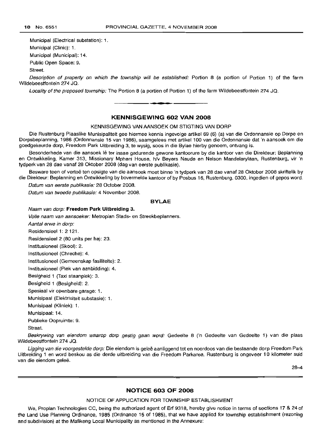Municipal (Electrical substation): 1.

Municipal (Clinic): 1.

Municipal (Municipal): 14.

Public Open Space: 9.

Street.

Description of property on which the township will be established: Portion 8 (a portion of Portion 1) of the farm Wildebeestfontein 274 JQ.

Locality of the proposed township: The Portion 8 (a portion of Portion 1) of the farm Wildebeestfontein 274 JQ. .**-.**

## **KENNISGEWING 602 VAN 2008**

#### KENNISGEWING VAN AANSOEK OM STIGTING VAN DORP

Die Rustenburg Plaaslike Munisipaliteit gee hiermee kennis ingevolge artikel 69 (6) (a) van die Ordonnansie op Dorpe en Dorpsbeplanning, 1986 (Ordonnansie 15 van 1986), saamgelees met artikel 100 van die Ordonnansie dat'n aansoek om die goedgekeurde dorp, Freedom Park Uitbreiding 3, te wysig, soos in die Bylae hierby genoem, ontvang is.

Besonderhede van die aansoek lê ter insae gedurende gewone kantoorure by die kantoor van die Direkteur: Beplanning en Ontwikkeling, Kamer 313, Missionary Mpheni House, h/v Beyers Naude en Nelson Mandelarylaan, Rustenburg, vir 'n tydperk van 28 dae vanaf 28 Oktober 2008 (dag van eerste publikasie).

Besware teen of vertoe ten opsigte van die aansoek moet binne 'n tydperk van 28 dae vanaf 28 Oktober 2008 skriftelik by die Direkteur: Beplanning en Ontwikkeling by bovermelde kantoor of by Posbus 16, Rustenburg, 0300, ingedien of gepos word.

Datum van eerste publikasie: 28 October 2008.

Datum van tweede publikasie: 4 November 2008.

#### **BYLAE**

Naam van dorp: **Freedom Park Uitbreiding** 3.

Volle naam van aansoeker: Metroplan Stads- en Streekbeplanners.

Aantal erwe in dorp:

Residensieel 1: 2 121.

Residensieel 2 (80 units per ha): 23.

Institusioneel (Skool): 2.

Institusioneel (Chreche): 4.

Institusioneel (Gemeenskap fasiliteite): 2.

Institusioneel (Plek van aanbidding): 4.

Besigheid 1 (Taxi staanplek): 3.

Besigheid 1 (Besigheid): 2.

Spesiaal vir openbare garage: 1.

Munisipaal (Elektrisiteit substasie): 1.

Munisipaal (Kliniek): 1.

Munisipaal: 14.

Publieke Oopruimte: 9.

Straat.

Beskrywing van eiendom waarop dorp gestig gaan word: Gedeelte 8 ('n Gedeelte van Gedeelte 1) van die plaas Wildebeestfontein 274 JQ.

Ligging van die voorgestelde dorp: Die eiendom is geleë aanliggend tot en noordoos van die bestaande dorp Freedom Park Uitbreiding 1 en word beskou as die derde uitbreiding van die Freedom Parkarea. Rustenburg is ongeveer 10 kilometer suid van die eiendom geleë.

28-4

## **NOTICE 603 OF 2008**

#### NOTICE OF APPLICATION FOR TOWNSHIP ESTABLISHMENT

We, Proplan Technologies CC, being the authorized agent of Erf 9318, hereby give notice in terms of sections 17 & 24 of the Land Use Planning Ordinance, 1985 (Ordinance 15 of 1985), that we have applied for township establishment (rezoning and subdivision) at the Mafikeng Local Municipality as mentioned in the Annexure: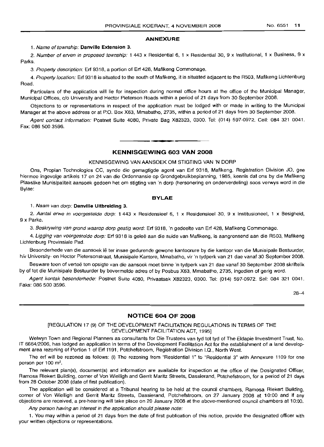#### No. 6551 **11**

#### **ANNEXURE**

## 1. Name of township: **Danville Extension** 3.

2. Number of erven in proposed township: 1 443 x Residential 6, 1 x Residential 30, 9 x Institutional, 1 x Business, 9 x Parks.

3. Property description: Erf 9318, a portion of Erf 428, Mafikeng Commonage.

4. Property location: Erf 9318 is situated to the south of Mafikeng, it is situated adjacent to the R503, Mafikeng Lichtenburg Road.

Particulars of the application will lie for inspection during normal office hours at the office of the Municipal Manager, Municipal Offices, c/o University and Hector Pieterson Roads within a period of 21 days from 30 September 2008.

Objections to or representations in respect of the application must be lodged with or made in writing to the Municipal Manager at the above address or at P.O. Box X63, Mmabatho, 2735, within a period of 21 days from 30 September 2008.

Agent contact information: Postnet Suite 4080, Private Bag X82323, 0300. Tel: (014) 597-0972. Cell: 084321 0041. Fax: 086 500 3596.

## **KENNISGEWING 603 VAN 2008**

**-**

## KENNISGEWING VAN AANSOEK OM STIGTING VAN 'N DORP

Ons, Proplan Technologies CC, synde die gemagtigde agent van Erf 9318, Mafikeng, Registration Division JO, gee hiermee ingevolge artikels 17 en 24 van die Ordonnansie op Grondgebruikbeplanning, 1985, kennis dat ons by die Mafikeng Plaaslike Munisipaliteit aansoek gedoen het om stigting van 'n dorp (hersonering en onderverdeling) soos verwys word in die Bylae:

#### **BYLAE**

#### 1. Naam van dorp: **Danville Uitbreiding** 3.

2. Aantal erwe in voorgestelde dorp: 1 443 x Residensieel 6, 1 x Residensieel 30, 9 x Institusioneel, 1 x Besigheid, 9 x Parke.

3. Beskrywing van grond waarop dorp gestig word: Erf 9318, 'n gedeelte van Erf 428, Mafikeng Commonage.

4. Ligging van voorgestelde dorp: Erf 9318 is geleë aan die suide van Mafikeng, is aangrensend aan die R503, Mafikeng Lichtenburg Provinsiale Pad.

Besonderhede van die aansoek lê ter insae gedurende gewone kantoorure by die kantoor van die Munisipale Bestuurder, h/v University- en Hector Pietersonstraat, Munisipale Kantore, Mmabatho, vir 'n tydperk van 21 dae vanaf 30 September 2008.

Besware teen of vertoë ten opsigte van die aansoek moet binne 'n tydperk van 21 dae vanaf 30 September 2008 skriftelik by of tot die Munisipale Bestuurder by bovermelde adres of by Posbus X63, Mmabatho, 2735, ingedien of gerig word.

Agent kontak besonderhede: Postnet Suite 4080, Privaatsak X82323, 0300. Tel: (014) 597-0972. Sel: 084 321 0041. Faks: 086 500 3596.

28-4

## **NOTICE 604 OF 2008**

#### [REGULATION 17 (9) OF THE DEVELOPMENT FACILITATION REGULATIONS IN TERMS OF THE DEVELOPMENT FACILITATION ACT, 1995]

Welwyn Town and Regional Planners as consultants for Die Trustees van tyd tot tyd of The Eldapie Investment Trust, No. IT 6664/2006, has lodged an application in terms of the Development Facilitation Act for the establishment of a land development area rezoning of Portion 1 of Erf 1191, Potchefstroom, Registration Division I.Q., North West.

The erf will be rezoned as follows: (i) The rezoning from "Residential 1" to "Residential 3" with Annexure 1109 for one person per 100  $m^2$ .

The relevant plan(s), document(s) and information are available for inspection at the office of the Designated Officer, Ramosa Riekert Building, corner of Von Wielligh and Gerrit Maritz Streets, Dassierand, Potchefstroom, for a period of 21 days from 28 October 2008 (date of first publication).

The application will be considered at a Tribunal hearing to be held at the council chambers, Ramosa Riekert Building, corner of Von Wielligh and Gerrit Maritz Streets, Dassierand, Potchefstroom, on 27 January 2008 at 10:00 and if any objections are received, a pre-hearing will take place on 20 January 2008 at the above-mentioned council chambers at 10:00.

Any person having an interest in the application should please note:

1. You may within a period of 21 days from the date of first publication of this notice, provide the designated officer with your written objections or representations.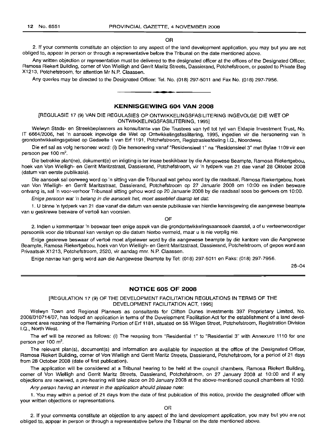### OR

2. If your comments constitute an objection to any aspect of the land development application, you may but you are not obliged to, appear in person or through a representative before the Tribunal on the date mentioned above.

Any written objection or representation must be delivered to the designated officer at the offices of the Designated Officer, Ramosa Riekert Building, corner of Von Wielligh and Gerrit Maritz Streets, Dassierand, Potchefstroom, or posted to Private Bag X1213, Potchefstroom, for attention Mr N.P. Claassen.

Any queries may be directed to the Designated Officer: Tel. No. (018) 297-5011 and Fax No. (018) 297-7956. .**- .**

## **KENNISGEWING 604 VAN 2008**

[REGULASIE 17 (9) VAN DIE REGULASIES OP ONTWIKKELlNGSFASILITERING INGEVOLGE DIE WET OP ONTWIKKELlNGSFASILITERING, 1995]

Welwyn Stads- en Streekbeplanners as konsultante van Die Trustees van tyd tot tyd van Eldapie Investment Trust, No. IT 6664/2006, het 'n aansoek ingevolge die Wet op Ontwikkelingsfasilitering, 1995, ingedien vir die hersonering van 'n grondontwikkelingsgebied op Gedeelte 1 van Erf 1191, Potchefstroom, Registrasieafdeling 1.0., Noordwes.

Die erf sal as volg hersoneer word: (i) Die hersonering vanaf "Residensieel 1" na "Residensieel 3" met Bylae 1109 vir een persoon per 100  $m^2$ .

Die betrokke plan(ne), dokument(e) en inligting is ter insae beskikbaar by die Aangewese Beampte, Ramosa Riekertgebou, hoek van Von Wielligh- en Gerrit Maritzstraat, Dassierand, Potchefstroom, vir 'n tydperk van 21 dae vanaf 28 Oktober 2008 (datum van eerste publikasie).

Die aansoek sal oorweeg word op 'n sitting van die Tribunaal wat gehou word by die raadsaal, Ramosa Riekertgebou, hoek van Von Wielligh- en Gerrit Maritzstraat, Dassierand, Potchefstroom op 27 Januarie 2008 om 10:00 en indien besware ontvang is, sal 'n voor-verhoor Tribunaal sitting gehou word op 20 Januarie 2008 by die raadsaal soos bo genoem om 10:00.

Enige persoon wat 'n belang in die aansoek *net,* moet asseblief daarop let dat:

1. U binne 'n tydperk van 21 dae vanaf die datum van eerste publikasie van hierdie kennisgewing die aangewese beampte van u geskrewe besware of vertoë kan voorsien.

OF

2. Indien u kommentaar 'n beswaar teen enige aspek van die grondontwikkelingsaansoek daarstel, u of u verteenwoordiger persoonlik voor die tribunaal kan verskyn op die datum hierbo vermeld, maar u is nie verplig nie.

Enige geskrewe beswaar of vertoe moet afgelewer word by die aangewese beampte by die kantore van die Aangewese Beampte, Ramosa Riekertgebou, hoek van Von Wielligh- en Gerrit Maritzstraat, Dassierand, Potchefstroom, of gepos word aan Privaatsak X1213, Potchefstroom, 2520, vir aandag mnr. N.P. Claassen.

Enige navrae kan gerig word aan die Aangewese Beampte by Tel: (018) 297-5011 en Faks: (018) 297-7956.

28-04

#### **NOTICE 605 OF 2008**

[REGULATION 17 (9) OF THE DEVELOPMENT FACILITATION REGULATIONS IN TERMS OF THE DEVELOPMENT FACILITATION ACT, 1995]

Welwyn Town and Regional Planners as consultants for Clifton Dunes Investments 397 Proprietary Limited, No. 2006/010714/07, has lodged an application in terms of the Development Facilitation Act for the establishment of a land development area rezoning of the Remaining Portion of Erf 1181, situated on 55 Wilgen Street, Potchefstroom, Registration Division 1.0., North West.

The erf will be rezoned as follows: (i) The rezoning from "Residential 1" to "Residential 3" with Annexure 1110 for one person per 100 m<sup>2</sup>.

The relevant plan(s), document(s) and information are available for inspection at the office of the Designated Officer, Ramosa Riekert Building, corner of Von Wielligh and Gerrit Maritz Streets, Dassierand, Potchefstroom, for a period of 21 days from 28 October 2008 (date of first publication).

The application will be considered at a Tribunal hearing to be held at the council chambers, Ramosa Riekert Building, corner of Von Wielligh and Gerrit Maritz Streets, Dassierand, Potchefstroom, on 27 January 2008 at 10:00 and if any objections are received, a pre-hearing will take place on 20 January 2008 at the above-mentioned council chambers at 10:00.

Any person having an interest in the application should please note:

1. You may within a period of 21 days from the date of first publication of this notice, provide the designated officer with your written objections or representations.

OR

2. If your comments constitute an objection to any aspect of the land development application, you may but you are not obliged to, appear in person or through a representative before the Tribunal on the date mentioned above.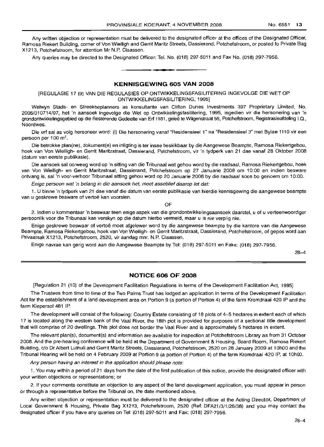Any written objection or representation must be delivered to the designated officer at the offices of the Designated Officer, Ramosa Riekert Building, corner of Von Wielligh and Gerrit Maritz Streets, Dassierand, Potchefstroom, or posted to Private Bag X1213, Potchefstroom, for attention Mr N.P. Claassen.

Any queries may be directed to the Designated Officer: Tel. No. (018) 297-5011 and Fax No. (018) 297-7956.

## **KENNISGEWING 605 VAN 2008**

**1\_**

[REGULASIE 17 (9) VAN DIE REGULASIES OP ONTWIKKELlNGSFASILITERING INGEVOLGE DIE WET OP ONTWIKKELlNGSFASILITERING, 1995]

Welwyn Stads- en Streekbeplanners as konsultante van Clifton Dunes Investments 397 Proprietary Limited, No. 2006/010714/07, het 'n aansoek ingevolge die Wet op Ontwikkelingsfasilitering, 1995, ingedien vir die hersonering van 'n grondontwikkelingsgebied op die Resterende Gedeelte van Erf 1181, geleë te Wilgenstraat 55, Potchefstroom, Registrasieafdeling I.Q., Noordwes.

Die erf sal as volg hersoneer word: (i) Die hersonering vanaf "Residensieel 1" na "Residensieel 3" met Bylae 1110 vir een persoon per 100  $m^2$ .

Die betrokke plan(ne), dokument(e) en inligting is ter insae beskikbaar by die Aangewese Beampte, Ramosa Riekertgebou, hoek van Von Wielligh- en Gerrit Maritzstraat, Dassierand, Potchefstroom, vir 'n tydperk van 21 dae vanaf 28 Oktober 2008 (datum van eerste publikasie).

Die aansoek sal oorweeg word op 'n sitting van die Tribunaal wat gehou word by die raadsaal, Ramosa Riekertgebou, hoek van Von Wielligh- en Gerrit Maritzstraat, Dassierand, Potchefstroom op 27 Januarie 2008 om 10:00 en indien besware ontvang is, sal 'n voor-verhoor Tribunaal sitting gehou word op 20 Januarie 2008 by die raadsaal soos bo genoem om 10:00.

Enige persoon wat 'n belang in die aansoek net, moet asseblief daarop let dat:

1. LI binne 'n tydperk van 21 dae vanaf die datum van eerste publikasie van hierdie kennisgewing die aangewese beampte van u geskrewe besware of vertoë kan voorsien.

OF

2. Indien u kommentaar 'n beswaar teen enige aspek van die grondontwikkelingsaansoek daarstel, u of u verteenwoordiger persoonlik voor die Tribunaal kan verskyn op die datum hierbo vermeld, maar u is nie verplig nie.

Enige geskrewe beswaar of vertoë moet afgelewer word by die aangewese beampte by die kantore van die Aangewese Beampte, Ramosa Riekertgebou, hoek van Von Wielligh- en Gerrit Maritzstraat, Dassierand, Potchefstroom, of gepos word aan Privaatsak X1213, Potchefstroom, 2520, vir aandag mnr. N.P. Claassen.

Enige navrae kan gerig word aan die Aangewese Beampte by Tel: (018) 297-5011 en Faks: (018) 297-7956.

28-4

## **NOTICE 606 OF 2008**

[Regulation 21 (10) of the Development Facilitation Regulations in terms of the Development Facilitation Act, 1995]

The Trustees from time to time of the Two Palms Trust has lodged an application in terms of the Development Facilitation Act for the establishment of a land development area on Portion 9 (a portion of Portion 4) of the farm Kromdraai 420 IP and the farm Kiepersol 481 IP.

The development will consist of the following: Country Estate consisting of 18 plots of 4-5 hectares in extent each of which 17 is located along the western bank of the Vaal River, the 18th plot is provided for purposes of a sectional title development that will comprise of 20 dwellings. This plot does not border the Vaal River and is approximately 5 hectares in extent.

The relevant plan(s), document(s) and information are available for inspection at Potchefstroom Library as from 31 October 2008. And the pre-hearing conference will be held at the Department of Government & Housing, Board Room, Ramosa Riekert Building, c/o Dr Albert Luthuli and Gerrit Maritz Streets, Dassierand, Potchefstroom, 2520 on 28 January 2009 at 1OhOO and the Tribunal Hearing will be held on 4 February 2009 at Portion 9 (a portion of Portion 4) of the farm Kromdraai 420 IP, at 10hOO.

Any person having an interest in the application should please note:

1. You may within a period of 21 days from the date of the first publication of this notice, provide the designated officer with your written objections or representations; or

2. If your comments constitute an objection to any aspect of the land development application, you must appear in person or through a representative before the Tribunal on, the date mentioned above.

Any written objection or representation must be delivered to the designated officer at the Acting Director, Department of Local Government & Housing, Private Bag X1213, Potchefstroom, 2520 (Ref: DFA21 /3/1 /26/38) and you may contact the designated officer if you have any queries on Tel: (018) 297-5011 and Fax: (018) 297-7956.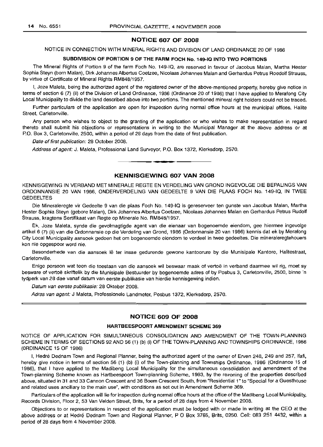## **NOTICE 607 OF 2008**

NOTICE IN CONNECTION WITH MINERAL RIGHTS AND DIVISION OF LAND ORDINANCE 20 OF 1986

## **SUBDIVISION OF PORTION 9 OF THE FARM FOCH No. 149-10 INTO TWO PORTIONS**

The Mineral Rights of Portion 9 of the farm Foch No. 149-10, are reserved in favour of Jacobus Malan, Martha Hester Sophia Steyn (born Malan), Dirk Johannes Albertus Coetzee, Nicolaas Johannes Malan and Gerhardus Petrus Roedolf Strauss, by virtue of Certificate of Mineral Rights RM848/1957.

I, Joze Maleta, being the authorized agent of the registered owner of the above-mentioned property, hereby give notice in terms of section 6 (7) (ii) of the Division of Land Ordinance, 1986 (Ordinance 20 of 1986) that I have applied to Merafong City Local Municipality to divide the land described above into two portions. The mentioned mineral right holders could not be traced.

Further particulars of the application are open for inspection during normal office hours at the municipal offices, Halite Street, Carletonville.

Any person who wishes to object to the granting of the application or who wishes to make representation in regard thereto shall submit his objections or representations in writing to the Municipal Manager at the above address or at P.O. Box 3, Carletonville, 2500, within a period of 28 days from the date of first publication.

Date of first publication: 28 October 2008.

Address of agent: J. Maleta, Professional Land Surveyor, P.O. Box 1372, Klerksdorp, 2570.

## **KENNISGEWING 607 VAN 2008**

**• •**

KENNISGEWING IN VERBAND MET MINERALE REGTE EN VERDELING VAN GROND INGEVOLGE DIE BEPALINGS VAN ORDONNANSIE 20 VAN 1986, ONDERVERDELING VAN GEDEELTE 9 VAN DIE PLAAS FOCH No. 149-10, IN TWEE **GEDEELTES** 

Die Mineraleregte vir Gedeelte 9 van die plaas Foch No. 149-10 is gereserveer ten gunste van Jacobus Malan, Martha Hester Sophia Steyn (gebore Malan), Dirk Johannes Albertus Coetzee, Nicolaas Johannes Malan en Gerhardus Petrus Rudolf Strauss, kragtens Sertifikaat van Regte op Minerale No. RM848/1957.

Ek, Joze Maleta, synde die gevolmagtigde agent van die eienaar van bogenoemde eiendom, gee hiermee ingevolge artikel 6 (7) (ii) van die Ordonnansie op die Verdeling van Grond, 1986 (Ordonnansie 20 van 1986) kennis dat ek by Merafong City Local Municipality aansoek gedoen het om bogenoemde eiendom te verdeel in twee gedeeltes. Die mineraleregtehouers kon nie opgespoor word nie.

Besonderhede van die aansoek lê ter insae gedurende gewone kantoorure by die Munisipale Kantore, Halitestraat, Carletonville.

Enige persoon wat teen die toestaan van die aansoek wil beswaar maak of vertoë in verband daarmee wil rig, moet sy besware of vertoë skriftelik by die Munisipale Bestuurder by bogenoemde adres of by Posbus 3, Carletonville, 2500, binne 'n tydperk van 28 dae vanaf datum van eerste publikasie van hierdie kennisgewing indien.

Datum van eerste publikasie: 28 Oktober 2008.

Adres van agent: J Maleta, Professionele Landmeter, Posbus 1372, Klerksdorp, 2570.

## **NOTICE 609 OF 2008**

## **HARTBEESPOORT AMENDMENT SCHEME 369**

NOTICE OF APPLICATION FOR SIMULTANEOUS CONSOLIDATION AND AMENDMENT OF THE TOWN-PLANNING SCHEME IN TERMS OF SECTIONS 92 AND 56 (1) (b) (i) OF THE TOWN-PLANNING AND TOWNSHIPS ORDINANCE, 1986 (ORDINANCE 15 OF 1986)

I, Hedré Dednam Town and Regional Planner, being the authorized agent of the owner of Erven 248, 249 and 257, Ifafi, hereby give notice in terms of section 56 (1) (b) (i) of the Town-planning and Townships Ordinance, 1986 (Ordinance 15 of 1986), that I have applied to the Madibeng Local Municipality for the simultaneous consolidation and amendment of the Town-planning Scheme known as Hartbeespoort Town-planning Scheme, 1993, by the rezoning of the properties described above, situated in 31 and 33 Cannon Crescent and 36 Boem Crescent South, from "Residential 1"to "Special for a Guesthouse and related uses ancillary to the main use", with conditions as set out in Amendment Scheme 369.

Particulars of the application will lie for inspection during normal office hours at the office of the Madibeng Local Municipality, Records Division, Floor 2, 53 Van Velden Street, Brits, for a period of 28 days from 4 November 2008.

Objections to or representations in respect of the application must be lodged with or made in writing at the CEO at the above address or at Hedré Dednam Town and Regional Planner, P O Box 3765, Brits, 0250. Cell: 083 251 4432, within a period of 28 days from 4 November 2008.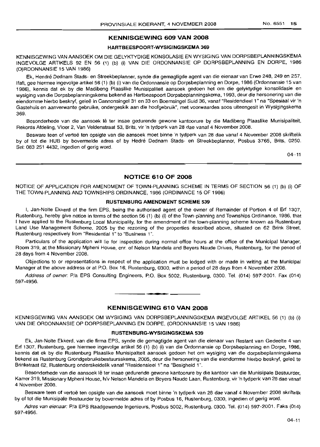## **KENNISGEWING 609 VAN 2008**

## **HARTBEESPOORT-WYSIGINGSKEMA 369**

KENNISGEWING VAN AANSOEK OM DIE GELYKTYDIGE KONSOLASIE EN WYSIGING VAN DORPSBEPLANNINGSKEMA INGEVOLGE ARTIKELS 92 EN 56 (1) (b) (i) VAN DIE ORDONNANSIE OP DORPSBEPLANNING EN DORPE, 1986 (O)RDONNANSIE 15 VAN 1986)

Ek, Hendre Dednam Stads- en Streekbeplanner, synde die gemagtigde agent van die eienaar van Erwe 248, 249 en 257, Ifafi, gee hiermee ingevolge artikel 56 (1) (b) (i) van die Ordonnansie op Dorpsbeplanning en Dorpe, 1986 (Ordonnansie 15 van 1986), kennis dat ek by die Madibeng Plaaslike Munisipaliteit aansoek gedoen het om die gelyktydige konsolidasie en wysiging van die Dorpsbeplanningskema bekend as Hartbeespoort Dorpsbeplanningskema, 1993, deur die hersonering van die eiendomme hierbo beskryf, gelee in Cannonsingel 31 en 33 en Boemsingel Suid 36, vanaf "Residendieel 1" na "Spesiaal vir 'n Gastehuis en aanverwante gebruike, ondergeskik aan die hoofgebruik", met voorwaardes soos uiteengesit in Wysigingskema 369.

Besonderhede van die aansoek lê ter insae gedurende gewone kantoorure by die Madibeng Plaaslike Munisipaliteit, Rekords Afdeling, Vloer 2, Van Veldenstraat 53, Brits, vir 'n tydperk van 28 dae vanaf 4 November 2008.

Besware teen of vertoe ten opsigte van die aansoek moet binne 'n tydperk van 28 dae vanaf 4 November 2008 skriftelik by of tot die HUB by bovermelde adres of by Hedré Dednam Stads- en Streekbeplanner, Posbus 3765, Brits, 0250. Sel: 083 251 4432, ingedien of gerig word.

 $04 - 11$ 

## **NOTICE 610 OF 2008**

NOTICE OF APPLICATION FOR AMENDMENT OF TOWN-PLANNING SCHEME IN TERMS OF SECTION 56 (1) (b) (i) OF THE TOWN-PLANNING AND TOWNSHIPS ORDINANCE, 1986 (ORDINANCE 15 OF 1986)

## **RUSTENBURG AMENDMENT SCHEME 539**

I, Jan-Nolte Ekkerd of the firm EPS, being the authorised agent of the owner of Remainder of Portion 4 of Erf 1307, Rustenburg, hereby give notice in terms of the section 56 (1) (b) (i) of the Town-planning and Townships Ordinance, 1986, that I have applied to the Rustenburg Local Municipality, for the amendment of the town-planning scheme known as Rustenburg Land Use Management Scheme, 2005 by the rezoning of the properties described above, situated on 62 Brink Street, Rustenburg respectively from "Residential 1" to "Business 1".

Particulars of the application will lie for inspection during normal office hours at the office of the Municipal Manager, Room 319, at the Missionary Mpheni House, em. of Nelson Mandela and Beyers Naude Drives, Rustenburg, for the period of 28 days from 4 November 2008.

Objections to or representations in respect of the application must be lodged with or made in writing at the Municipal Manager at the above address or at P.O. Box 16, Rustenburg, 0300, within a period of 28 days from 4 November 2008.

Address of owner: Pia EPS Consulting Engineers, P.O. Box 5002, Rustenburg, 0300. Tel. (014) 597-2001. Fax (014) 597-4956.

**. -**

## **KENNISGEWING 610 VAN 2008**

KENNISGEWING VAN AANSOEK OM WYSIGING VAN DORPSBEPLANNINGSKEMA INGEVOLGE ARTIKEL 56 (1) (b) (i) VAN DIE ORDONNANSIE OP DORPSBEPLANNING EN DORPE, (ORDONNANSIE 15 VAN 1986)

#### **RUSTENBURG-WYSIGINGSKEMA 539**

Ek, Jan-Nolte Ekkerd, van die firma EPS, synde die gemagtigde agent van die eienaar van Restant van Gedeelte 4 van Erf 1307, Rustenburg, gee hiermee ingevolge artikel 56 (1) (b) (i) van die Ordonnansie op Dorpsbeplanning en Dorpe, 1986, kennis dat ek by die Rustenburg Plaaslike Munisipaliteit aansoek gedoen het om wysiging van die dorpsbeplanningskema bekend as Rustenburg Grondgebruiksbestuursskema, 2005, deur die hersonering van die eiendomme hierbo beskryf, geleë te Brinkstraat 62, Rustenburg onderskeidelik vanaf "Residensieel 1" na "Besigheid 1".

Besonderhede van die aansoek lê ter insae gedurende gewone kantoorure by die kantoor van die Munisipale Bestuurder, Kamer 319, Missionary Mpheni House, h/v Nelson Mandela en Beyers Naude Laan, Rustenburg, vir 'n tydperk van 28 dae vanaf 4 November 2008.

Besware teen of vertoe ten opsigte van die aansoek moet binne 'n tydperk van 28 dae vanaf 4 November 2008 skriftelik by of tot die Munisipale Bestuurder by bovermelde adres of by Posbus 16, Rustenburg, 0300, ingedien of gerig word.

Adres van eienaar: P/a EPS Raadgewende Ingenieurs, Posbus 5002, Rustenburg, 0300. Tel. (014) 597-2001. Faks (014) 597-4956.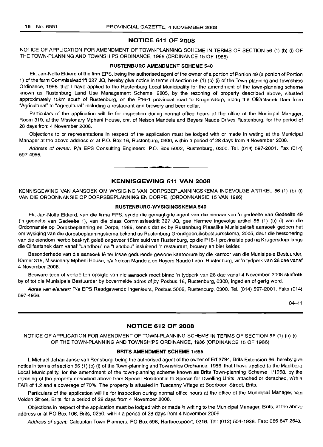## **NOTICE 611 OF 2008**

NOTICE OF APPLICATION FOR AMENDMENT OF TOWN-PLANNING SCHEME IN TERMS OF SECTION 56 (1) (b) (i) OF THE TOWN-PLANNING AND TOWNSHIPS ORDINANCE, 1986 (ORDINANCE 15 OF 1986)

#### **RUSTENBURG AMENDMENT SCHEME 540**

Ek, Jan-Nolte Ekkerd of the firm EPS, being the authorised agent of the owner of a portion of Portion 49 (a portion of Portion 1) of the farm Commissiesdrift 327 JQ, hereby give notice in terms of section 56 (1) (b) (i) of the Town-planning and Townships Ordinance, 1986, that I have applied to the Rustenburg Local Municipality for the amendment of the town-planning scheme known as Rustenburg Land Use Management Scheme, 2005, by the rezoning of property described above, situated approximately 15km south of Rustenburg, on the P16-1 provincial road to Krugersdorp, along the Olifantsnek Dam from "Agricultural" to "Agricultural" including a restaurant and brewery and beer cellar.

Particulars of the application will lie for inspection during normal office hours at the office of the Municipal Manager, Room 319, at the Missionary Mpheni House, cnr. of Nelson Mandela and Beyers Naude Drives Rustenburg, for the period of 28 days from 4 November 2008.

Objections to or representations in respect of the application must be lodged with or made in writing at the Municipal Manager at the above address or at P.O. Box 16, Rustenburg, 0300, within a period of 28 days from 4 November 2008.

Address of owner: Pia EPS Consulting Engineers, P.O. Box 5002, Rustenburg, 0300. Tel. (014) 597-2001. Fax (014) 597-4956.

## **KENNISGEWING 611 VAN 2008**

KENNISGEWING VAN AANSOEK OM WYSIGING VAN DORPSBEPLANNINGSKEMA INGEVOLGE ARTIKEL 56 (1) (b) (i) VAN DIE ORDONNANSIE OP DORPSBEPLANNING EN DORPE, (ORDONNANSIE 15 VAN 1986)

## **RUSTENBURG-WYSIGINGSKEMA 540**

Ek, Jan-Nolte Ekkerd, van die firma EPS, synde die gemagtigde agent van die eienaar van 'n gedeelte van Gedeelte 49 ('n gedeelte van Gedeelte 1), van die plaas Commissiesdrift 327 JQ, gee hiermee ingevolge artikel 56 (1) (b) (i) van die Ordonnansie op Dorpsbeplanning en Dorpe, 1986, kennis dat ek by Rustenburg Plaaslike Munisipaliteit aansoek gedoen het om wysiging van die dorpsbeplanningskema bekend as Rustenburg Grondgebruiksbestuursskema, 2005, deur die hersonering van die eiendom hierbo beskryf, geleë ongeveer 15km suid van Rustenburg, op die P16-1 provinsiale pad na Krugersdorp langs die Olifantsnek dam vanaf "Landbou" na "Landbou" insluitend 'n restaurant, brouery en bier kelder.

Besonderhede van die aansoek Ie ter insae gedurende gewone kantoorure by die kantoor van die Munisipale Bestuurder, Kamer 319, Missionary Mpheni House, h/v Nelson Mandela en Beyers Naude Laan, Rustenburg, vir 'n tydperk van 28 dae vanaf 4 November 2008.

Besware teen of vertoë ten opsigte van die aansoek moet binne 'n tydperk van 28 dae vanaf 4 November 2008 skriftelik by of tot die Munisipale Bestuurder by bovermelde adres of by Posbus 16, Rustenburg, 0300, ingedien of gerig word.

Adres van eienaar: Pia EPS Raadgewende Ingenieurs, Posbus 5002, Rustenburg, 0300. Tel. (014) 597-2001. Faks (014) 597-4956.

 $04 - 11$ 

## **NOTICE 612 OF 2008**

NOTICE OF APPLICATION FOR AMENDMENT OF TOWN-PLANNING SCHEME IN TERMS OF SECTION 56 (1) (b) (i) OF THE TOWN-PLANNING AND TOWNSHIPS ORDINANCE, 1986 (ORDINANCE 15 OF 1986)

## **BRITS AMENDMENT SCHEME** 1/555

I, Michael Johan Janse van Rensburg, being the authorised agent of the owner of Erf 3794, Brits Extension 96, hereby give notice in terms of section 56 (1) (b) (i) of the Town-planning and Townships Ordinance, 1986, that I have applied to the Madibeng Local Municipality, for the amendment of the town-planning scheme known as Brits Town-planning Scheme 1/1958, by the rezoning of the property described above from Special Residential to Special for Dwelling Units, attached or detached, with a FAR of 1.2 and a coverage of 70%. The property is situated in Tuscanny Village at Boerboon Street, Brits.

Particulars of the application will lie for inspection during normal office hours at the office of the Municipal Manager, Van Velden Street, Brits, for a period of 28 days from 4 November 2008.

Objections in respect of the application must be lodged with or made in writing to the Municipal Manager, Brits, at the above address or at PO Box 106, Brits, 0250, within a period of 28 days from 4 November 2008.

Address of agent: Calcuplan Town Planners, PO Box 598, Hartbeespoort, 0216. Tel: (012) 504-1938. Fax: 086 647 2640.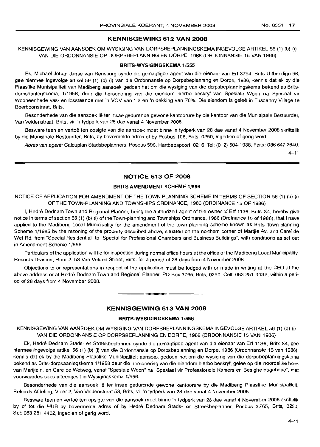#### **KENNISGEWING 612 VAN 2008**

KENNISGEWING VAN AANSOEK OM WYSIGING VAN DORPSBEPLANNINGSKEMA INGEVOLGE ARTIKEL 56 (1) (b) (i) VAN DIE ORDONNANSIE OP DORPSBEPLANNING EN DORPE, 1986 (ORDONNANSIE 15 VAN 1986)

#### **BRITS-WYSIGINGSKEMA** 1/555

Ek, Michael Johan Janse van Rensburg synde die gemagtigde agent van die eienaar van Erf 3794, Brits Uitbreidign 96, gee hiermee ingevolge artikel 56 (1) (b) (i) van die Ordonnansie op Dorpsbeplanning en Dorpe, 1986, kennis dat ek by die Plaaslike Munisipaliteit van Madibeng aansoek gedoen het om die wysiging van die dorpsbeplanningskema bekend as Britsdorpsaanlegskema, 1/1958, deur die hersonering van die eiendom hierbo beskryf van Spesiale Woon na Spesiaal vir Wooneenhede vas- en losstaande met 'n VOV van 1.2 en 'n dekking van 70%. Die eiendom is geleë in Tuscanny Village te Boerboonstraat, Brits.

Besonderhede van die aansoek lê ter insae gedurende gewone kantoorure by die kantoor van die Munisipale Bestuurder, Van Veldenstraat, Brits, vir 'n tydperk van 28 dae vanaf 4 November 2008.

Besware teen en vertoe ten opsigte van die aansoek moet binne 'n tydperk van 28 dae vanaf 4 November 2008 skriftelik by die Munisipale Bestuurder, Brits, by bovermelde adres of by Posbus 106, Brits, 0250, ingedien of gerig word.

Adres van agent: Calcuplan Stadsbeplanners, Posbus 598, Hartbeespoort, 0216. Tel: (012) 504-1938. Faks: 086 647 2640.

 $4 - 11$ 

## **NOTICE 613 OF 2008**

#### **BRITS AMENDMENT SCHEME** 1/556

NOTICE OF APPLICATION FOR AMENDMENT OF THE TOWN-PLANNING SCHEME IN TERMS OF SECTION 56 (1) (b) (i) OF THE TOWN-PLANNING AND TOWNSHIPS ORDINANCE, 1986 (ORDINANCE 15 OF 1986)

I, Hedré Dednam Town and Regional Planner, being the authorized agent of the owner of Erf 1136, Brits X4, hereby give notice in terms of section 56 (1) (b) (i) of the Town-planning and Townships Ordinance, 1986 (Ordinance 15 of 1986), that I have applied to the Madibeng Local Municipality for the amendment of the town-planning scheme known as Brits Town-planning Scheme 1/1985 by the rezoning of the property described above, situated on the northern corner of Martjie Av. and Carel de Wet Rd, from "Special Residential" to "Special for Professional Chambers and Business Buildings", with conditions as set out in Amendment Scheme 1/556.

Particulars of the application will lie for inspection during normal office hours at the office of the Madibeng Local Municipality, Records Division, Floor 2, 53 Van Velden Street, Brits, for a period of 28 days from 4 November 2008.

Objections to or representations in respect of the application must be lodged with or made in writing at the CEO at the above address or at Hedré Dednam Town and Regional Planner, PO Box 3765, Brits, 0250, Cell: 083 251 4432, within a period of 28 days from 4 November 2008.

## **KENNISGEWING 613 VAN 2008**

**-**

## **BRITS-WYSIGINGSKEMA** 1/556

KENNISGEWING VAN AANSOEK OM WYSIGING VAN DORPSBEPLANNINGSKEMA INGEVOLGE ARTIKEL 56 (1) (b) (i) VAN DIE ORDONNANSIE OP DORPSBEPLANNING EN DORPE, 1986 (ORDONNANSIE 15 VAN 1986)

Ek, Hedré Dednam Stads- en Streekbeplanner, synde die gemagtigde agent van die eienaar van Erf 1136, Britx X4, gee hiermee ingevolge artikel 56 (1) (b) (i) van die Ordonnansie op Dorpsbeplanning en Dorpe, 1986 (Ordonnansie 15 van 1986), kennis dat ek by die Madibeng Plaaslike Munisipaliteit aansoek gedoen het om die wysiging van die dorpsbeplanningskema bekend as Brits-dorpsaanlegskema 1/1958 deur die hersonering van die eiendom hierbo beskryf, geleë op die noordelike hoek van Martjieln. en Care de Wetweg, vanaf "Spesiale Woon" na "Spesiaal vir Professionele Kamers en Besigheidsgeboue", met voorwaardes soos uiteengesit in Wysigingskema 1/556.

Besonderhede van die aansoek lê ter insae gedurende gewone kantoorure by die Madibeng Plaaslike Munisipaliteit, Rekords Afdeling, Vloer 2, Van Veldenstraat 53, Brits, vir 'n tydperk van 28 dae vanaf 4 November 2008.

Besware teen en vertoë ten opsigte van die aansoek moet binne 'n tydperk van 28 dae vanaf 4 November 2008 skriftelik by of tot die HUB by bovermelde adres of by Hedre Dednam Stads- en Streekbeplanner, Posbus 3765, Brits, 0250, Sel: 083 251 4432, ingedien of gerig word.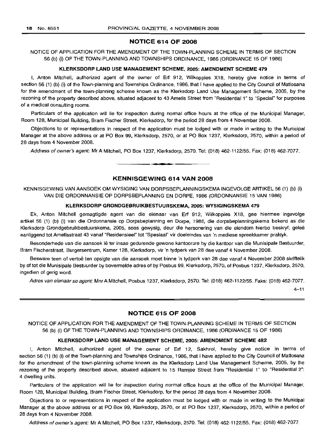## NOTICE 614 OF 2008

NOTICE OF APPLICATION FOR THE AMENDMENT OF THE TOWN-PLANNING SCHEME IN TERMS OF SECTION 56 (b) (i) OF THE TOWN-PLANNING AND TOWNSHIPS ORDINANCE, 1986 (ORDINANCE 15 OF 1986)

#### KLERKSDORP LAND USE MANAGEMENT SCHEME, 2005: AMENDMENT SCHEME 479

I, Anton Mitchell, authorized agent of the owner of Erf 912, Wilkoppies X18, hereby give notice in terms of section 56 (1) (b) (i) of the Town-planning and Townships Ordinance, 1986, that I have applied to the City Council of Matlosana for the amendment of the town-planning scheme known as the Klerksdorp Land Use Management Scheme, 2005, by the rezoning of the property described above, situated adjacent to 43 Ametis Street from "Residential 1" to "Special" for purposes of a medical consulting rooms.

Particulars of the application will lie for inspection during normal office hours at the office of the Municipal Manager, Room 128, Municipal Building, Bram Fischer Street, Klerksdorp, for the period 28 days from 4 November 2008.

Objections to or representations in respect of the application must be lodged with or made in writing to the Municipal Manager at the above address or at PO Box 99, Klerksdorp, 2570, or at PO Box 1237, Klerksdorp, 2570, within a period of 28 days from 4 November 2008.

Address of owner's agent: Mr A Mitchell, PO Box 1237, Klerksdorp, 2570. Tel: (018) 462-1122/55. Fax: (018) 462-7077.

## KENNISGEWING 614 VAN 2008

**• •**

KENNISGEWING VAN AANSOEK OM WYSIGING VAN DORPSBEPLANNINGSKEMA INGEVOLGE ARTIKEL 56 (1) (b) (i) VAN DIE ORDONNANSIE OP DORPSBEPLANNING EN DORPE, 1986 (ORDONNANSIE 15 VAN 1986)

#### KLERKSDORP GRONDGEBRUIKBESTUURSKEMA, 2005: WYSIGINGSKEMA 479

Ek, Anton Mitchell gemagtigde agent van die eienaar van Erf 912, Wilkoppies X18, gee hiermee ingevolge artikel 56 (1) (b) (i) van die Ordonnansie op Dorpsbeplanning en Dorpe, 1986, die dorpsbeplanningskema bekend as die Klerksdorp Grondgebruikbestuurskema, 2005, soos gewysig, deur die hersonering van die eiendom hierbo beskryf, geleë aanliggend tot Ametisstraat 43 vanaf "Residensieel" tot "Spesiaal" vir doeleindes van 'n mediese spreekkamer praktyk.

Besonderhede van die aansoek lê ter insae gedurende gewone kantoorure by die kantoor van die Munisipale Bestuurder, Bram Fischerstraat, Burgersentrum, Kamer 128, Klerksdorp, vir 'n tydperk van 28 dae vanaf 4 November 2008.

Besware teen of vertoe ten opsigte van die aansoek moet binne 'n tydperk van 28 dae vanaf 4 November 2008 skriftelik by of tot die Munisipale Bestuurder by bovermelde adres of by Posbus 99, Klerksdorp, 2570, of Posbus 1237, Klerksdorp, 2570, ingedien of gerig word.

Adres van eienaar se agent: Mnr A Mitchell, Posbus 1237, Klerksdorp, 2570. Tel: (018) 462-1122/55. Faks: (018) 462-7077.

4-11

#### NOTICE 615 OF 2008

NOTICE OF APPLICATION FOR THE AMENDMENT OF THE TOWN-PLANNING SCHEME IN TERMS OF SECTION 56 (b) (i) OF THE TOWN-PLANNING AND TOWNSHIPS ORDINANCE, 1986 (ORDINANCE 15 OF 1986)

#### KLERKSDORP LAND USE MANAGEMENT SCHEME, 2005: AMENDMENT SCHEME 482

I, Anton Mitchell, authorized agent of the owner of Erf 12, Sakhrol, hereby give notice in terms of section 56 (1) (b) (i) of the Town-planning and Townships Ordinance, 1986, that I have applied to the City Council of Matlosana for the amendment of the town-planning scheme known as the Klerksdorp Land Use Management Scheme, 2005, by the rezoning of the property described above, situated adjacent to 15 Ramjee Street from "Residential 1" to "Residential 2": 4 dwelling units.

Particulars of the application will lie for inspection during normal office hours at the office of the Municipal Manager, Room 128, Municipal Building, Bram Fischer Street, Klerksdorp, for the period 28 days from 4 November 2008.

Objections to or representations in respect of the application must be lodged with or made in writing to the Municipal Manager at the above address or at PO Box 99, Klerksdorp, 2570, or at PO Box 1237, Klerksdorp, 2570, within a period of 28 days from 4 November 2008.

Address of owner's agent: MrAMitchell, PO Box 1237, Klerksdorp, 2570. Tel: (018) 462-1122/55. Fax: (018) 462-7077.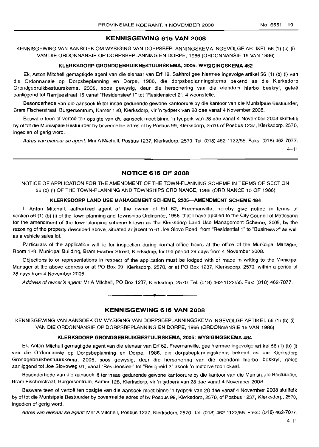## **KENNISGEWING 615 VAN 2008**

KENNISGEWING VAN AANSOEK OM WYSIGING VAN DORPSBEPLANNINGSKEMA INGEVOLGE ARTIKEL 56 (1) (b) (i) VAN DIE ORDONNANSIE OP DORPSBEPLANNING EN DORPE, 1986 (ORDONNANSIE 15 VAN 1986)

#### **KLERKSDORP GRONDGEBRUIKBESTUURSKEMA, 2005: WYSIGINGSKEMA 482**

Ek, Anton Mitchell gemagtigde agent van die eienaar van Erf 12, Sakhrol gee hiermee ingevolge artikel 56 (1) (b) (i) van die Ordonnansie op Dorpsbeplanning en Dorpe, 1986, die dorpsbeplanningskema bekend as die Klerksdorp Grondgebruikbestuurskema, 2005, soos gewysig, deur die hersonering van die eiendom hierbo beskryf, gelee aanliggend tot Ramjeestraat 15 vanaf "Residensieel 1" tot "Residensieel 2": 4 woonstelle.

Besonderhede van die aansoek lê ter insae gedurende gewone kantoorure by die kantoor van die Munisipale Bestuurder, Bram Fischerstraat, Burgersentrum, Kamer 128, Klerksdorp, vir 'n tydperk van 28 dae vanaf 4 November 2008.

Besware teen of vertoë ten opsigte van die aansoek moet binne 'n tydperk van 28 dae vanaf 4 November 2008 skriftelik by of tot die Munisipale Bestuurder by bovermelde adres of by Posbus 99, Klerksdorp, 2570, of Posbus 1237, Klerksdorp, 2570, ingedien of gerig word.

Adres van eienaar se agent: Mnr A Mitchell, Posbus 1237, Klerksdorp, 2570. Tel: (018) 462-1122/55. Faks: (018) 462-7077.

 $4 - 11$ 

## **NOTICE 616 OF 2008**

NOTICE OF APPLICATION FOR THE AMENDMENT OF THE TOWN-PLANNING SCHEME IN TERMS OF SECTION 56 (b) (i) OF THE TOWN-PLANNING AND TOWNSHIPS ORDINANCE, 1986 (ORDINANCE 15 OF 1986)

## **KLERKSDORP LAND USE MANAGEMENT SCHEME, 2005-AMENDMENT SCHEME 484**

I, Anton Mitchell, authorized agent of the owner of Erf 62, Freemanville, hereby give notice in terms of section 56 (1) (b) (i) of the Town-planning and Townships Ordinance, 1986, that I have applied to the City Council of Matlosana for the amendment of the town-planning scheme known as the Klerksdorp Land Use Management Scheme, 2005, by the rezoning of the property described above, situated adjacent to 61 Joe Siovo Road, from "Residential 1" to "Business 2" as well as a vehicle sales lot.

Particulars of the application will lie for inspection during normal office hours at the office of the Municipal Manager, Room 128, Municipal Building, Bram Fischer Street, Klerksdorp, for the period 28 days from 4 November 2008.

Objections to or representations in respect of the application must be lodged with or made in writing to the Municipal Manager at the above address or at PO Box 99, Klerksdorp, 2570, or at PO Box 1237, Klerksdorp, 2570, within a period of 28 days from 4 November 2008.

Address of owner's agent: Mr A Mitchell, PO Box 1237, Klerksdorp, 2570. Tel: (018) 462-1122/55. Fax: (018) 462-7077.

#### **KENNISGEWING 616 VAN 2008**

**•**

KENNISGEWING VAN AANSOEK OM WYSIGING VAN DORPSBEPLANNINGSKEMA INGEVOLGE ARTIKEL 56 (1) (b) (i) VAN DIE ORDONNANSIE OP DORPSBEPLANNING EN DORPE, 1986 (ORDONNANSIE 15 VAN 1986)

#### **KLERKSDORP GRONDGEBRUIKBESTUURSKEMA, 2005: WYSIGINGSKEMA 484**

Ek, Anton Mitchell gemagtigde agent van die eienaar van Erf 62, Freemanville, gee hiermee ingevolge artikel 56 (1) (b) (i) van die Ordonnansie op Dorpsbeplanning en Dorpe, 1986, die dorpsbeplanningskema bekend as die Klerksdorp Grondgebruikbestuurskema, 2005, soos gewysig, deur die hersonering van die eiendom hierbo beskryf, gelee aanliggend tot Joe Siovoweg 61, vanaf "Residensieel" tot "Besigheid 2" asook 'n motorvertoonlokaal.

Besonderhede van die aansoek Ie ter insae gedurende gewone kantoorure by die kantoor van die Munisipale Bestuurder, Bram Fischerstraat, Burgersentrum, Kamer 128, Klerksdorp, vir 'n tydperk van 28 dae vanaf 4 November 2008.

Besware teen of vertoe ten opsigte van die aansoek moet binne 'n tydperk van 28 dae vanaf 4 November 2008 skriftelik by of tot die Munisipale Bestuurder by bovermelde adres of by Posbus 99, Klerksdorp, 2570, of Posbus 1237, Klerksdorp, 2570, ingedien of gerig word.

Adres van eienaar se agent: Mnr A Mitchell, Posbus 1237, Klerksdorp, 2570. Tel: (018) 462-1122/55. Faks: (018) 462-7077.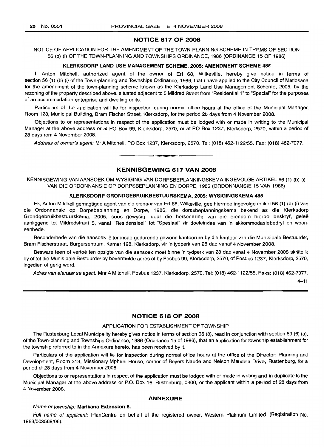## **NOTICE 617 OF 2008**

NOTICE OF APPLICATION FOR THE AMENDMENT OF THE TOWN-PLANNING SCHEME IN TERMS OF SECTION 56 (b) (i) OF THE TOWN-PLANNING AND TOWNSHIPS ORDINANCE, 1986 (ORDINANCE 15 OF 1986)

## **KLERKSDORP LAND USE MANAGEMENT SCHEME, 2005: AMENDMENT SCHEME 485**

I, Anton Mitchell, authorized agent of the owner of Erf 68, Wilkeville, hereby give notice in terms of section 56 (1) (b) (i) of the Town-planning and Townships Ordinance, 1986, that I have applied to the City Council of Matlosana for the amendment of the town-planning scheme known as the Klerksdorp Land Use Management Scheme, 2005, by the rezoning of the property described above, situated adjacent to 5 Mildred Street from "Residential 1" to "Special" for the purposes of an accommodation enterprise and dwelling units.

Particulars of the application will lie for inspection during normal office hours at the office of the Municipal Manager, Room 128, Municipal Building, Bram Fischer Street, Klerksdorp, for the period 28 days from 4 November 2008.

Objections to or representations in respect of the application must be lodged with or made in writing to the Municipal Manager at the above address or at PO Box 99, Klerksdorp, 2570, or at PO Box 1237, Klerksdorp, 2570, within a period of 28 days rom 4 November 2008.

Address of owner's agent: Mr A Mitchell, PO Box 1237, Klerksdorp, 2570. Tel: (018) 462-1122/55. Fax: (018) 462-7077. .**-.**

#### **KENNISGEWING 617 VAN 2008**

KENNISGEWING VAN AANSOEK OM WYSIGING VAN DORPSBEPLANNINGSKEMA INGEVOLGE ARTIKEL 56 (1) (b) (i) VAN DIE ORDONNANSIE OP DORPSBEPLANNING EN DORPE, 1986 (ORDONNANSIE 15 VAN 1986)

#### **KLERKSDORP GRONDGEBRUIKBESTUURSKEMA, 2005: WYSIGINGSKEMA 485**

Ek, Anton Mitchell gemagtigde agent van die eienaar van Erf 68, Wilkeville, gee hiermee ingevolge artikel 56 (1) (b) (i) van die Ordonnansie op Dorpsbeplanning en Dorpe, 1986, die dorpsbeplanningskema bekend as die Klerksdorp Grondgebruikbestuurskema, 2005, soos gewysig, deur die hersonering van die eiendom hierbo beskryf, gelee aanliggend tot Mildredstraat 5, vanaf "Residensieel" tot "Spesiaal" vir doeleindes van 'n akkommodasiebedryf en wooneenhede.

Besonderhede van die aansoek lê ter insae gedurende gewone kantoorure by die kantoor van die Munisipale Bestuurder, Bram Fischerstraat, Burgersentrum, Kamer 128, Klerksdorp, vir 'n tydperk van 28 dae vanaf 4 November 2008.

Besware teen of vertoë ten opsigte van die aansoek moet binne 'n tydperk van 28 dae vanaf 4 November 2008 skriftelik by of tot die Munisipale Bestuurder by bovermelde adres of by Posbus 99, Klerksdorp, 2570, of Posbus 1237, Klerksdorp, 2570, ingedien of gerig word.

Adres van eienaar se agent: Mnr A Mitchell, Posbus 1237, Klerksdorp, 2570. Tel: (018) 462-1122/55. Faks: (018) 462-7077.

 $4 - 11$ 

## **NOTICE 618 OF 2008**

## APPLICATION FOR ESTABLISHMENT OF TOWNSHIP

The Rustenburg Local Municipality hereby gives notice in terms of section 96 (3), read in conjunction with section 69 (6) (a), of the Town-planning and Townships Ordinance, 1986 (Ordinance 15 of 1986), that an application for township establishment for the township referred to in the Annexure hereto, has been received by it.

Particulars of the application will lie for inspection during normal office hours at the office of the Director: Planning and Development, Room 313, Missionary Mpheni House, corner of Beyers Naude and Nelson Mandela Drive, Rustenburg, for a period of 28 days from 4 November 2008.

Objections to or representations in respect of the application must be lodged with or made in writing and in duplicate to the Municipal Manager at the above address or P.O. Box 16, Rustenburg, 0300, or the applicant within a period of 28 days from 4 November 2008.

#### **ANNEXURE**

#### Name of township: **Marikana Extension** 5.

Full name of applicant: PlanCentre on behalf of the registered owner, Western Platinum Limited (Registration No. 1963/003589/06).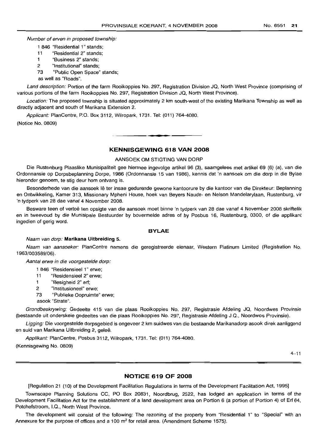Number of erven in proposed township:

- 1 846 "Residential 1" stands;
- 11 "Residential 2" stands;
- 1 "Business 2" stands;
- 2 "Institutional" stands;
- 73 "Public Open Space" stands;

as well as "Roads".

Land description: Portion of the farm Rooikoppies No. 297, Registration Division JQ, North West Province (comprising of various portions of the farm Rooikoppies No. 297, Registration Division JQ, North West Province).

Location: The proposed township is situated approximately 2 km south-west of the existing Marikana Township as well as directly adjacent and south of Marikana Extension 2.

Applicant: PlanCentre, P.O. Box 3112, Wilropark, 1731. Tel: (011) 764-4080. (Notice No. 0809)

## **KENNISGEWING 618 VAN 2008**

**- I**

#### AANSOEK OM STIGTING VAN DORP

Die Rustenburg Plaaslike Munisipaliteit gee hiermee ingevolge artikel 96 (3), saamgelees met artikel 69 (6) (a), van die Ordonnansie op Dorpsbeplanning Dorpe, 1986 (Ordonnansie 15 van 1986), kennis dat 'n aansoek om die dorp in die Bylae hieronder genoem, te stig deur hom ontvang is.

Besonderhede van die aansoek Ie ter insae gedurende gewone kantoorure by die kantoor van die Direkteur: Beplanning en Ontwikkeling, Kamer 313, Missionary Mpheni House, hoek van Beyers Naude- en Nelson Mandelarylaan, Rustenburg, vir 'n tydperk van 28 dae vanaf 4 November 2008.

Besware teen of vertoe ten opsigte van die aansoek moet binne 'n tydperk van 28 dae vanaf 4 November 2008 skriftelik en in tweevoud by die Munisipale Bestuurder by bovermelde adres of by Posbus 16, Rustenburg, 0300, of die applikant ingedien of gerig word.

## **BYLAE**

#### Naam van dorp: **Marikana Uitbreiding** 5.

Naam van aansoeker: PlanCentre namens die geregistreerde eienaar, Western Platinum Limited (Registration No. 1963/003589/06).

Aantal erwe in die voorgestelde dorp:

- 1 846 "Residensieel 1" erwe;
- 11 "Residensieel 2" erwe;
- 1 "Besigheid 2" ert;
- 2 "Institusioneel" erwe;
- 73 "Publieke Oopruimte" erwe;
- asook "Strate".

Grondbeskrywing: Gedeelte 415 van die plaas Rooikoppies No. 297, Registrasie Afdeling JQ, Noordwes Provinsie (bestaande uit onderskeie gedeeltes van die plaas Rooikoppies No. 297, Registrasie Afdeling J.Q., Noordwes Provinsie).

Ligging: Die voorgestelde dorpsgebied is ongeveer 2 km suidwes van die bestaande Marikanadorp asook direk aanliggend en suid van Marikana Uitbreiding 2, geleë.

Applikant: PlanCentre, Posbus 3112, Wilropark, 1731. Tel: (011) 764-4080. (Kennisgewing No. 0809)

 $4 - 11$ 

#### **NOTICE 619 OF 2008**

[Regulation 21 (10) of the Development Facilitation Regulations in terms of the Development Facilitation Act, 1995]

Townscape Planning Solutions CC, PO Box 20831, Noordbrug, 2522, has lodged an application in terms of the Development Facilitation Act for the establishment of a land development area on Portion 6 (a portion of Portion 4) of Erf 64, Potchefstroom, I.Q., North West Province.

The development will consist of the following: The rezoning of the property from "Residential 1" to "Special" with an Annexure for the purpose of offices and a 100  $m^2$  for retail area. (Amendment Scheme 1575).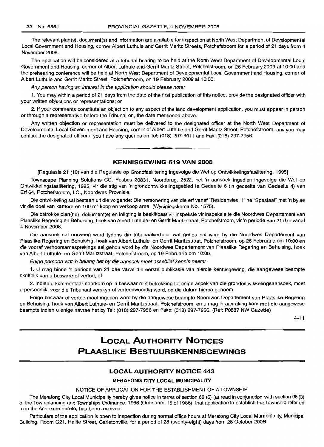The relevant plan(s), document(s) and information are available for inspection at North West Department of Developmental Local Government and Housing, corner Albert Luthule and Gerrit Maritz Streets, Potchefstroom for a period of 21 days from 4 November 2008.

The application will be considered at a tribunal hearing to be held at the North West Department of Developmental Local Government and Housing, corner of Albert Luthule and Gerrit Maritz Street, Potchefstroom, on 26 February 2009 at 10:00 and the prehearing conference will be held at North West Department of Developmental Local Government and Housing, corner of Albert Luthule and Gerrit Maritz Street, Potchefstroom, on 19 February 2009 at 10:00.

Any person having an interest in the application should please note:

1. You may within a period of 21 days from the date of the first publication of this notice, provide the designated officer with your written objections or representations; or

2. If your comments constitute an objection to any aspect of the land development application, you must appear in person or through a representative before the Tribunal on, the date mentioned above.

Any written objection or representation must be delivered to the designated officer at the North West Department of Developmental Local Government and Housing, corner of Albert Luthule and Gerrit Maritz Street, Potchefstroom, and you may contact the designated officer if you have any queries on Tel: (018) 297-5011 and Fax: (018) 297-7956.

## **KENNISGEWING 619 VAN 2008**

**• •**

[Regulasie 21 (10) van die Regulasie op Grondfasilitering ingevolge die Wet op Ontwikkelingsfasilitering, 1995]

Townscape Planning Solutions CC, Posbus 20831, Noordbrug, 2522, het 'n aansoek ingedien ingevolge die Wet op Ontwikkelingsfasilitering, 1995, vir die stig van 'n grondontwikkelingsgebied te Gedeelte 6 ('n gedeelte van Gedeelte 4) van Ert 64, Potchefstroom, I.Q., Noordwes Provnisie.

Die ontwikkeling sal bestaan uit die volgende: Die hersonering van die ert vanaf "ResidensieeI1" na "Spesiaal" met 'n bylae vir die doel van kantore en 100 m<sup>2</sup> koop en verkoop area. (Wysigingskema No. 1575).

Die betrokke plan(ne), dokument(e) en inligting is beskikbaar vir inspeksie vir inspeksie te die Noordwes Departement van Plaaslike Regering en Behuising, hoek van Albert Luthule- en Gerrit Maritzstraat, Potchefstroom, vir 'n periode van 21 dae vanaf 4 November 2008.

Die aansoek sal oorweeg word tydens die tribunaalverhoor wat gehou sal word by die Noordwes Departement van Plaaslike Regering en Behuising, hoek van Albert Luthule- en Gerrit Maritzstraat, Potchefstroom, op 26 Februarie om 10:00 en die vooraf verhoorsamesprekings sal gehou word by die Noordwes Departement van Plaaslike Regering en Behuising, hoek van Albert Luthule- en Gerrit Maritzstraat, Potchefstroom, op 19 Februarie om 10:00.

Enige persoon wat 'n belang het by die aansoek moet asseblief kennis neem:

1. U mag binne 'n periode van 21 dae vanaf die eerste publikasie van hierdie kennisgewing, die aangewese beampte skriftelik van u besware of vertoë; of

2. indien u kommentaar neerkom op 'n beswaar met betrekking tot enige aspek van die grondontwikkelingsaansoek, moet u persoonlik, voor die Tribunaal verskyn of verteenwoordig word, op die datum hierbo genoem.

Enige beswaar of vertoe moet ingeden word by die aangewese beampte Noordwes Departement van Plaaslike Regering en Behuising, hoek van Albert Luthule- en Gerrit Maritzstraat, Potchefstroom, en u mag in aanraking kom met die aangewese beampte indien u enige navrae het by Tel: (018) 297-7956 en Faks: (018) 297-7956. (Ref: P0887 NW Gazette)

 $4 - 11$ 

## **LOCAL AUTHORITY NOTICES PLAASLIKE BESTUURSKENNISGEWINGS**

## **LOCAL AUTHORITY NOTICE 443**

#### **MERAFONG CITY LOCAL MUNICIPALITY**

#### NOTICE OF APPLICATION FOR THE ESTABLISHMENT OF A TOWNSHIP

The Merafong City Local Municipality hereby gives notice in terms of section 69 (6) (a) read in conjunction with section 96 (3) of the Town-planning and Townships Ordinance, 1986 (Ordinance 15 of 1986), that application to establish the township referred to in the Annexure hereto, has been received.

Particulars of the application is open to inspection during normal office hours at Merafong City Local Municipality, Municipal Building, Room G21, Halite Street, Carletonville, for a period of 28 (twenty-eight) days from 28 October 2008.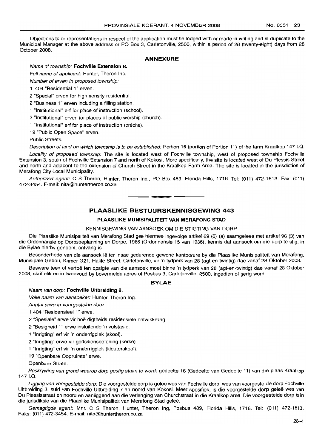Objections to or representations in respect of the application must be lodged with or made in writing and in duplicate to the Municipal Manager at the above address or PO Box 3, Carletonville, 2500, within a period of 28 (twenty-eight) days from 28 October 2008.

## **ANNEXURE**

## Name of township: **Fochville Extension** 8.

Full name of applicant: Hunter, Theron Inc.

Number of erven in proposed township:

1 404 "Residential 1" erven.

2 "Special" erven for high density residential.

2 "Business 1" erven including a filling station.

1 "Institutional" ert for place of instruction (school).

2 "Institutional" erven for places of public worship (church).

1 "institutional" erf for place of instruction (crèche).

19 "Public Open Space" erven.

Public Streets.

Description of land on which township is to be established: Portion 16 (portion of Portion 11) of the farm Kraalkop 147 I.Q.

Locality of proposed township: The site is located west of Fochville township, west of proposed township Fochville Extension 3, south of Fochville Extension 7 and north of Kokosi. More specifically, the site is located west of Du Plessis Street and north and adjacent to the extension of Church Street in the Kraalkop Farm Area. The site is located in the jurisdiction of Merafong City Local Municipality.

Authorised agent: C S Theron, Hunter, Theron Inc., PO Box 489, Florida Hills, 1716. Tel: (011) 472-1613. Fax: (011) 472-3454. E-mail: nita@huntertheron.co.za

**PLAASLIKE BESTUURSKENNISGEWING 443**

**•**

## **PLAASLIKE MUNISIPALITEIT VAN MERAFONG STAD**

#### KENNISGEWING VAN AANSOEK OM DIE STIGTING VAN DORP

Die Plaaslike Munisipaliteit van Merafong Stad gee hiermee ingevolge artikel 69 (6) (a) saamgelees met artikel 96 (3) van die Ordonnansie op Dorpsbeplanning en Dorpe, 1986 (Ordonnansie 15 van 1986), kennis dat aansoek om die dorp te stig, in die Bylae hierby genoem, ontvang is.

Besonderhede van die aansoek lê ter insae gedurende gewone kantoorure by die Plaaslike Munisipaliteit van Merafong, Munisipale Gebou, Kamer G21, Halite Street, Carletonville, vir 'n tydperk van 28 (agt-en-twintig) dae vanaf 28 Oktober 2008.

Besware teen of vertoe ten opsigte van die aansoek moet binne 'n tydperk van 28 (agt-en-twintig) dae vanaf 28 Oktober 2008, skriftelik en in tweevoud by bovermelde adres of Posbus 3, Carletonville, 2500, ingedien of gerig word.

## **BYLAE**

#### Naam van dorp: **Fochville Uitbreiding** 8.

Volle naam van aansoeker: Hunter, Theron Ing.

Aantal erwe in voorgestelde dorp:

1 404 "Residensieel 1" erwe.

2 "Spesiale" erwe vir hoë digtheids residensiële ontwikkeling.

2 "Besigheid 1" erwe insluitende 'n vulstasie.

1 "Inrigting" ert vir 'n onderrigplek (skool).

2 "Inrigting" erwe vir godsdiensoefening (kerke).

1 "Inrigting" ert vir 'n onderrigplek (kleuterskool).

19 "Openbare Oopruimte" erwe.

Openbare Strate.

Beskrywing van grond waarop dorp gestig staan te word: gedeelte 16 (Gedeelte van Gedeelte 11) van die plaas Kraalkop 1471.Q.

Ligging van voorgestelde dorp: Die voorgestelde dorp is geleë wes van Fochville dorp, wes van voorgestelde dorp Fochville Uitbreiding 3, suid van Fochville Uitbreiding 7 en noord van Kokosi. Meer spesifiek, is die voorgestelde dorp qelee wes van Du Plessisstraat en noord en aanliggend aan die verlenging van Churchstraat in die Kraalkop area. Die voorgestelde dorp is in die jurisdiksie van die Plaaslike Munisipaliteit van Merafong Stad geleë.

Gemagtigde agent: Mnr. C S Theron, Hunter, Theron Ing, Posbus 489, Florida Hills, 1716. Tel: (011) 472-1613. Faks: (011) 472-3454. E-mail: nita@huntertheron.co.za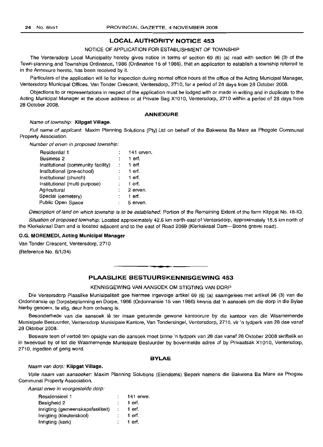## LOCAL AUTHORITY NOTICE 453

#### NOTICE OF APPLICATION FOR ESTABLISHMENT OF TOWNSHIP

The Ventersdorp Local Municipality hereby gives notice in terms of section 69 (6) (a) read with section 96 (3) of the Town-planning and Townships Ordinance, 1986 (Ordinance 15 of 1986), that an application to establish a township referred to in the Annexure hereto, has been received by it.

Particulars of the application will lie for inspection during normal office hours at the office of the Acting Municipal Manager, Ventersdorp Municipal Offices, Van Tonder Crescent, Ventersdorp, 2710, for a period of 28 days from 28 October 2008.

Objections to or representations in respect of the application must be lodged with or made in writing and in duplicate to the Acting Municipal Manager at the above address or at Private Bag X1010, Ventersdorp, 2710 within a period of 28 days from 28 October 2008.

#### ANNEXURE

#### Name of township: Klipgat Village.

Full name of applicant: Maxim Planning Solutions (Pty) Ltd on behalf of the Bakwena Ba Mare aa Phogole Communal Property Association.

Number of erven in proposed township:

| Residential 1                      |   | 141 $even$ |
|------------------------------------|---|------------|
| <b>Business 2</b>                  |   | 1 erf.     |
| Institutional (community facility) | ÷ | 1 erf.     |
| Institutional (pre-school)         |   | $1$ erf.   |
| Institutional (church)             |   | 1 erf.     |
| Institutional (multi purpose)      |   | 1 $erf.$   |
| Agricultural                       | ÷ | 2 erven.   |
| Special (cemetery)                 |   | 1 erf.     |
| Public Open Space                  |   | 5 erven.   |
|                                    |   |            |

Description of land on which township is to be established: Portion of the Remaining Extent of the farm Klipgat No. 18-10.

Situation of proposed township: Located approximately 42,6 km north-east of Ventersdorp, approximately 15,5 km north of the Klerkskraal Dam and is located adjacent and to the east of Road 2069 (Klerkskraal Dam-Boons gravel road).

#### O.G. MOREMEDI, Acting Municipal Manager

Van Tonder Crescent, Ventersdorp, 2710

(Reference No. 8/1/34)

## PLAASLIKE BESTUURSKENNISGEWING 453

**• I**

#### KENNISGEWING VAN AANSOEK OM STIGTING VAN DORP

Die Ventersdorp Plaaslike Munisipaliteit gee hiermee ingevolge artikel 69 (6) (a) saamgelees met artikel 96 (3) van die Ordonnansie op Dorpsbeplanning en Dorpe, 1986 (Ordonnansie 15 van 1986) kennis dat 'n aansoek om die dorp in die Bylae hierby genoem, te stig, deur hom ontvang is.

Besonderhede van die aansoek Ie ter insae gedurende gewone kantoorure by die kantoor van die Waarnemende Munisipale Bestuurder, Ventersdorp Munisipale Kantore, Van Tondersingel, Ventersdorp, 2710, vir 'n tydperk van 28 dae vanaf 28 Oktober 2008.

Besware teen of vertoë ten opsigte van die aansoek moet binne 'n tydperk van 28 dae vanaf 28 Oktober 2008 skriftelik en in tweevoud by of tot die Waarnemende Munisipale Bestuurder by bovermelde adres of by Privaatsak X1010, Ventersdorp, 2710, ingedien of gerig word.

## BYLAE

#### Naam van dorp: Klipgat Village.

Volle naam van aansoeker: Maxim Planning Solutions (Eiendoms) Beperk namens die Bakwena Ba Mare aa Phogole Communal Property Association.

Aantal erwe in voorgestelde dorp:

| Residensieel 1                    |                   | 141 erwe. |
|-----------------------------------|-------------------|-----------|
| Besigheid 2                       |                   | 1 erf.    |
| Inrigting (gemeenskapsfasiliteit) | $\sim$ 100 $\sim$ | 1 erf.    |
| Inrigting (kleuterskool)          |                   | 1 erf.    |
| Inrigting (kerk)                  |                   | 1 erf.    |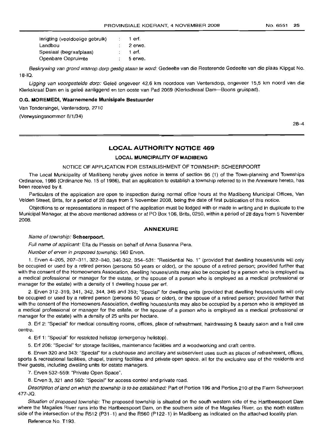| Inrigting (veeldoelige gebruik) | 1 erf.  |
|---------------------------------|---------|
| Landbou                         | 2 erwe. |
| Spesiaal (begraafplaas)         | 1 erf.  |
| Openbare Oopruimte              | 5 erwe. |

Beskrywing van grond waarop dorp gestig staan te word: Gedeelte van die Resterende Gedeelte van die plaas Klipgat No. 18-IQ.

Ligging van voorgestelde dorp: Geleë ongeveer 42,6 km noordoos van Ventersdorp, ongeveer 15,5 km noord van die Klerkskraal Dam en is gelee aanliggend en ten ooste van Pad 2069 (Klerksdkraal Dam-Boons gruispad).

#### **O.G. MOREMEDI, Waarnemende Munisipale Bestuurder**

Van Tondersingel, Ventersdorp, 2710

(Verwysingsnommer 8/1/34)

28-4

## **LOCAL AUTHORITY NOTICE 469**

## **LOCAL MUNICIPALITY OF MADIBENG**

#### NOTICE OF APPLICATION FOR ESTABLISHMENT OF TOWNSHIP: SCHEERPOORT

The Local Municipality of Madibeng hereby gives notice in terms of section 96 (1) of the Town-planning and Townships Ordinance, 1986 (Ordinance No. 15 of 1986), that an application to establish a township referred to in the Annexure hereto, has been received by it.

Particulars of the application are open to inspection during normal office hours at the Madibeng Municipal Offices, Van Velden Street, Brits, for a period of 28 days from 5 November 2008, being the date of first publication of this notice.

Objections to or representations in respect of the application must be lodged with or made in writing and in duplicate to the Municipal Manager, at the above mentioned address or at PO Box 106, Brits, 0250, within a period of 28 days from 5 November 2008.

#### **ANNEXURE**

#### Name of township: **Scheerpoort.**

Full name of applicant: Ella du Plessis on behalf of Anna Susanna Pera.

Number of erven in proposed township: 560 Erven.

1. Erven 4-205, 207-311, 322-340, 346-352, 354-531: "Residential NO.1" (provided that dwelling houses/units will only be occupied or used by a retired person (persons 50 years or older), or the spouse of a retired person; provided further that with the consent of the Homeowners Association, dwelling houses/units may also be occupied by a person who is employed as a medical professional or manager for the estate, or the spouse of a person who is employed as a medical professional or manager for the estate) with a density of 1 dwelling house per ert.

2. Erven 312-319, 341, 342, 344, 345 and 353; "Special" for dwelling units (provided that dwelling houses/units will only be occupied or used by a retired person (persons 50 years or older), or the spouse of a retired person; provided further that with the consent of the Homeowners Association, dwelling houses/units may also be occupied by a person who is employed as a medical professional or manager for the estate, or the spouse of a person who is employed as a medical professional or manager for the estate) with a density of 25 units per hectare.

3. Ert 2: "Special" for medical consulting rooms, offices, place of refreshment, hairdressing & beauty salon and a frail care centre.

4. Ert 1: "Special" for restricted helistop (emergency helistop).

5. Ert 206: "Special" for storage facilities, maintenance facilities and a woodworking and craft centre.

6. Erven 320 and 343: "Special" for a clubhouse and ancillary and subservient uses such as places of refreshment, offices, sports & recreational facilities, chapel, training facilities and private open space, all for the exclusive use of the residents and their guests, including dwelling units for estate managers.

7. Erven 532-559: "Private Open Space".

8. Erven 3, 321 and 560: "Special" for access control and private road.

Description of land on which the township is to be established: Part of Portion 196 and Portion 210 of the Farm Scheerpoort 477-JQ.

Situation of proposed township: The proposed township is situated on the south western side of the Hartbeespoort Dam where the Magalies River runs into the Hartbeespoort Dam, on the southern side of the Magalies River, on the north eastern side of the intersection of the R512 (P31-1) and the R560 (P122-1) in Madibeng as indicated on the attached locality plan.

Reference No. T193.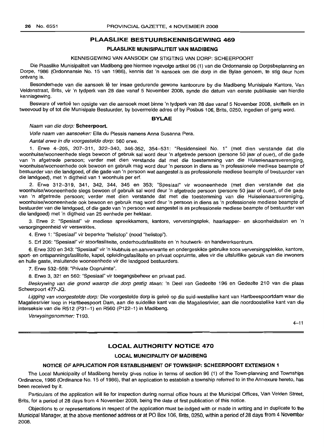## PLAASLIKE BESTUURSKENNISGEWING 469

## PLAASLIKE MUNISIPALITEIT VAN MADIBENG

## KENNISGEWING VAN AANSOEK OM STIGTING VAN DORP: SCHEERPOORT

Die Plaaslike Munisipaliteit van Madibeng gee hiermee ingevolge artikel 96 (1) van die Ordonnansie op Dorpsbeplanning en Dorpe, 1986 (Ordonnansie No. 15 van 1986), kennis dat 'n aansoek om die dorp in die Bylae genoem, te stig deur hom ontvang is.

Besonderhede van die aansoek lê ter insae gedurende gewone kantoorure by die Madibeng Munisipale Kantore, Van Veldenstraat, Brits, vir 'n tydperk van 28 dae vanaf 5 November 2008, synde die datum van eerste publikasie van hierdie kennisgewing.

Besware of vertoë ten opsigte van die aansoek moet binne 'n tydperk van 28 dae vanaf 5 November 2008, skriftelik en in tweevoud by of tot die Munisipale Bestuurder, by bovermelde adres of by Posbus 106, Brits, 0250, ingedien of gerig word.

#### BYLAE

#### Naam van die dorp: Scheerpoort.

Volle naam van aansoeker: Ella du Plessis namens Anna Susanna Pera.

Aantal erwe in die voorgestelde dorp: 560 erwe.

1. Erwe 4-205, 207-311, 322-340, 346-352, 354-531: "Residensieel No.1" (met dien verstande dat die woonhuise/wooneenhede slegs bewoon of gebruik sal word deur 'n afgetrede persoon (persone 50 jaar of ouer), of die gade van 'n afgetrede persoon; verder met dien verstande dat met die toestemming van die Huiseienaarsvereniging, woonhuise/wooneenhede ook bewoon en gebruik mag word deur 'n persoon in diens as 'n professionele mediese beampte of bestuurder van die landgoed, of die gade van 'n persoon wat aangestel is as professionele mediese beampte of bestuurder van die landgoed), met 'n digtheid van 1 woonhuis per ert.

2. Erwe 312-319, 341, 342, 344, 345 en 353; "Spesiaal" vir wooneenhede (met dien verstande dat die woonhuise/wooneenhede slegs bewoon of gebruik sal word deur 'n afgetrede persoon (persone 50 jaar of ouer), of die gade van 'n afgetrede persoon; verder met dien verstande dat met die toestemming van die Huiseienaarsvereniging, woonhuise/wooneenhede ook bewoon en gebruik mag word deur 'n persoon in diens as 'n professionele mediese beampte of bestuurder van die landgoed, of die gade van 'n persoon wat aangestel is as professionele mediese beampte of bestuurder van die landgoed) met 'n digtheid van 25 eenhede per hektaar.

3. Erwe 2: "Spesiaal" vir mediese spreekkamers, kantore, verversingsplek, haarkapper- en skoonheidsalon en 'n versorgingeenheid vir verswaktes.

4. Erwe 1: "Spesiaal" vir beperkte "helistop" (nood "helistop").

5. Ert 206: "Spesiaal" vir stoortasiliteite, onderhoudsfasiliteite en 'n houtwerk- en handwerksentrum.

6. Erwe 320 en 343: "Spesiaal" vir 'n klubhuis en aanverwante en ondergeskikte gebruike soos verversingsplekke, kantore, sport- en ontspanningsfasiliteite, kapel, opleidingsfasiliteite en privaat oopruimte, alles vir die uitsluitlike gebruik van die inwoners en hulle gaste, insluitende wooneenhede vir die landgoed bestuurders.

7. Erwe 532-559: "Private Oopruimte".

8. Erwe 3, 321 en 560: "Spesiaal" vir toegangsbeheer en privaat pad.

Beskrywing van die grond waarop die dorp gestig staan: 'n Deel van Gedeelte 196 en Gedeelte 210 van die plaas Scheerpoort 477-JQ.

Ligging van voorgestelde dorp: Die voorgestelde dorp is geleë op die suid-westelike kant van Hartbeespoortdam waar die Magaliesrivier loop in Hartbeespoort Dam, aan die suidelike kant van die Magaliesrivier, aan die noordoostelike kant van die interseksie van die R512 (P31-1) en R560 (P122-1) in Madibeng.

Verwysingsnommer: T193.

 $4 - 11$ 

## LOCAL AUTHORITY NOTICE 470

#### LOCAL MUNICIPALITY OF MADIBENG

#### NOTICE OF APPLICATION FOR ESTABLISHMENT OF TOWNSHIP: SCHEERPOORT EXTENSION 1

The Local Municipality of Madibeng hereby gives notice in terms of section 96 (1) of the Town-planning and Townships Ordinance, 1986 (Ordinance No. 15 of 1986), that an application to establish a township referred to in the Annexure hereto, has been received by it.

Particulars of the application will lie for inspection during normal office hours at the Municipal Offices, Van Velden Street, Brits, for a period of 28 days from 4 November 2008, being the date of first publication of this notice.

Objections to or representations in respect of the application must be lodged with or made in writing and in duplicate to the Municipal Manager, at the above mentioned address or at PO Box 106, Brits, 0250, within a period of 28 days from 4 November 2008.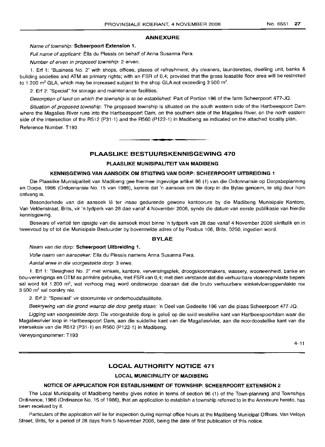## **ANNEXURE**

## Name of township: **Scheerpoort Extension 1.**

Full name of applicant: **Ella** du Plessis on behalf of Anna Susanna Pera.

Number of erven in proposed township: 2 erven.

1. Erf 1: "Business No.2" with shops, offices, places of refreshment, dry cleaners, launderettes, dwelling unit, banks & building societies and ATM as primary rights; with an FSR of 0,4; provided that the gross leasable floor area will be restricted to 1 200 m<sup>2</sup> GLA, which may be increased subject to the shop GLA not exceeding 3 500 m<sup>2</sup>.

2. **Erf** 2: "Special" for storage and maintenance facilities.

Description of land on which the township is to be established: Part of Portion 196 of the farm Scheerpoort 477-JQ.

Situation of proposed township: The proposed township is situated on the south western side of the Hartbeespoort Dam where the Magalies River runs into the Hartbeespoort Dam, on the southern side of the Magalies River, on the north eastern side of the intersection of the R512 (P31-1) and the R560 (P122-1) in Madibeng as indicated on the attached locality plan.

Reference Number. T193

## **PLAASLIKE BESTUURSKENNISGEWING 470**

**. -**

## **PLAASLIKE MUNISIPALITEIT VAN MADIBENG**

#### **KENNISGEWING VAN AANSOEK OM STIGTING VAN DORP: SCHEERPOORT UITBREIDING 1**

Die Plaaslike Munisipaliteit van Madibeng gee hiermee ingevolge artikel 96 (1) van die Ordonnansie op Dorpsbeplanning en Dorpe, 1986 (Ordonnansie No. 15 van 1986), kennis dat 'n aansoek om die dorp in die Bylae genoem, te stig deur hom ontvang is.

Besonderhede van die aansoek lê ter insae gedurende gewone kantoorure by die Madibeng Munisipale Kantore, Van Veldenstraat, Brits, vir 'n tydperk van 28 dae vanaf 4 November 2008, synde die datum van eerste publikasie van hierdie kennisgewing.

Besware of vertoë ten opsigte van die aansoek moet binne 'n tydperk van 28 dae vanaf 4 November 2008 skriftelik en in tweevoud by of tot die Munisipale Bestuurder by bovermelde adres of by Posbus 106, Brits, 0250, ingedien word.

#### **BYLAE**

## Naam van die dorp: **Scheerpoort Uitbreiding 1.**

Volle naam van aansoeker: Ella du Plessis namens Anna Susanna Pera.

Aantal erwe in die voorgestelde dorp: 3 erwe.

1. **Erf** 1: "Besigheid NO.2" met winkels, kantore, verversingsplek, droogskoonmakers, wassery, wooneenheid, banke en bou-verenigings en OTM as prirnere gebruike, met FSR van 0,4; met dien verstande dat die verhuurbare vloeropprvlakte beperk sal word tot 1 200 m<sup>2</sup>, wat verhoog mag word onderworpe daaraan dat die bruto verhuurbare winkelvloeroppervlakte nie 3 500 m<sup>2</sup> sal oorskry nie.

2. Erf 2: "Spesiaal" vir stoorruimte vir onderhoudsfasiliteite.

Beskrywing van die grond waarop die dorp gestig staan: 'n Deel van Gedeelte 196 van die plaas Scheerpoort 477-JQ.

Ligging van voorgestelde dorp: Die voorgestelde dorp is geleë op die suid-westelike kant van Hartbeespoortdam waar die Magaliesrivier loop in Hartbeespoort Dam, aan die suidelike kant van die Magaliesrivier, aan die noordoostelike kant van die interseksie van die R512 (P31-1) en R560 (P122-1) in Madibeng.

Verwysingsnommer: T193

 $4 - 11$ 

## **LOCAL AUTHORITY NOTICE 471**

## **LOCAL MUNICIPALITY OF MADIBENG**

## **NOTICE OF APPLICATION FOR ESTABLISHMENT OF TOWNSHIP: SCHEERPOORT EXTENSION 2**

The Local Municipality of Madibeng hereby gives notice in terms of section 96 (1) of the Town-planning and Townships Ordinance, 1986 (Ordinance No. 15 of 1986), that an application to establish a township referred to in the Annexure hereto, has been received by it.

Particulars of the application will lie for inspection during normal office hours at the Madibeng Municipal Offices, Van Velden Street, Brits, for a period of 28 days from 5 November 2008, being the date of first publication of this notice.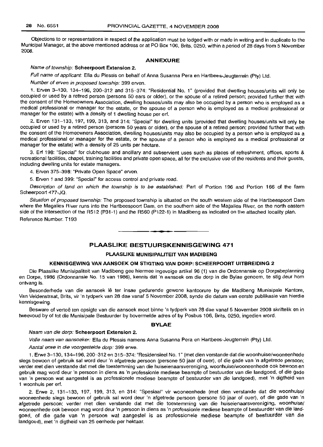Objections to or representations in respect of the application must be lodged with or made in writing and in duplicate to the Municipal Manager, at the above mentioned address or at PO Box 106, Brits, 0250, within a period of 28 days from 5 November 2008.

## ANNEXURE

#### Name of township: Scheerpoort Extension 2.

Full name of applicant: Ella du Plessis on behalf of Anna Susanna Pera en Hartbees-Jeugterrein (Pty) Ltd.

Number of erven in proposed township: 399 erven.

1. Erven 3-130, 134-196,200-312 and 315-374: "Residential NO.1" (provided that dwelling houses/units will only be occupied or used by a retired person (persons 50 ears or older), or the spouse of a retired person; provided further that with the consent of the Homeowners Association, dwelling houses/units may also be occupied by a person who is employed as a medical professional or manager for the estate, or the spouse of a person who is employed as a medical professional or manager for the estate) with a density of 1 dwelling house per ert.

2. Erven 131-133, 197, 199, 313, and 314: "Special" for dwelling units (provided that dwelling houses/units will only be occupied or used by a retired person (persons 50 years or older), or the spouse of a retired person; provided further that with the consent of the Homeowners Association, dwelling houses/units may also be occupied by a person who is employed as a medical professional or manager for the estate, or the spouse of a person who is employed as a medical professional or manager for the estate) with a density of 25 units per hectare.

3. Ert 198: "Special" for clubhouse and ancillary and subservient uses such as places of refreshment, offices, sports & recreational facilities, chapel, training facilities and private open space, all for the exclusive use of the residents and their guests, including dwelling units for estate managers.

4. Erven 375-398: "Private Open Space" erven.

5. Erven 1 and 399: "Special" for access control and private road.

Description of land on which the township is to be established: Part of Portion 196 and Portion 166 of the farm Scheerpoort 477-JQ.

Situation of proposed township: The proposed township is situated on the south western side of the Hartbeespoort Dam where the Magalies River runs into the Hartbeespoort Dam, on the southern side of the Magalies River, on the north eastern side of the intersection of the R512 (P31-1) and the R560 (P122-1) in Madibeng as indicated on the attached locality plan.

Reference Number. T193

## PLAASLIKE BESTUURSKENNISGEWING 471

**- .**

## PLAASLIKE MUNISIPALITEIT VAN MADIBENG

## KENNISGEWING VAN AANSOEK OM STIGTING VAN DORP: SCHEERPOORT UITBREIDING 2

Die Plaaslike Munisipaliteit van Madibeng gee hiermee ingevolge artikel 96 (1) van die Ordonnansie op Dorpsbeplanning en Dorpe, 1986 (Ordonnansie No. 15 van 1986), kennis dat 'n aansoek om die dorp in die Bylae genoem, te stig deur hom ontvang is.

Besonderhede van die aansoek lê ter insae gedurende gewone kantoorure by die Madibeng Munisipale Kantore, Van Veldenstraat, Brits, vir 'n tydperk van 28 dae vanaf 5 November 2008, synde die datum van eerste publikasie van hierdie kennisgewing.

Besware of vertoë ten opsigte van die aansoek moet binne 'n tydperk van 28 dae vanaf 5 November 2008 skriftelik en in tweevoud by of tot die Munisipale Bestuurder by bovermelde adres of by Posbus 106, Brits, 0250, ingedien word.

## BYLAE

#### Naam van die dorp: Scheerpoort Extension 2.

Volle naam van aansoeker: Ella du Plessis namens Anna Susanna Pera en Hartbees-Jeugterrein (Pty) Ltd.

Aantal erwe in die voorgestelde dorp: 399 erwe.

1. Erwe 3-130,134-196,200-312 en 315-374: "Residensieel NO.1" (met dien verstande dat die woonhuise/wooneenhede slegs bewoon of gebruik sal word deur 'n afgetrede persoon (persone 50 jaar of ouer), of die gade van 'n afgetrede persoon; verder met dien verstande dat met die toestemming van die huiseienaarsvereniging, woonhuise/wooneenhede ook bewoon en gebruik mag word deur 'n persoon in diens as 'n professionle mediese beampte of bestuurder van die landgoed, of die gade van 'n persoon wat aangestel is as professionele mediese beampte of bestuurder van die landgoed), met 'n digtheid van 1 woonhuis per ert.

2. Erwe 2, 131-133, 197, 199, 313, en 314: "Spesiaal" vir wooneenhede (met dien verstande dat die woonhuise/ wooneenhede slegs bewoon of gebruik sal word deur 'n afgetrede persoon (persone 50 jaar of ouer), of die gade van 'n afgetrede persoon; verder met dien verstande dat met die toestemming van die huiseienaarsvereniging, woonhuise/ wooneenhede ook bewoon mag word deur 'n persoon in diens as 'n professionle mediese beampte of bestuurder van die landgoed, of die gade van 'n persoon wat aangestel is as professionele mediese beampte of bestuurder van die landgoed), met 'n digtheid van 25 eenhede per hektaar.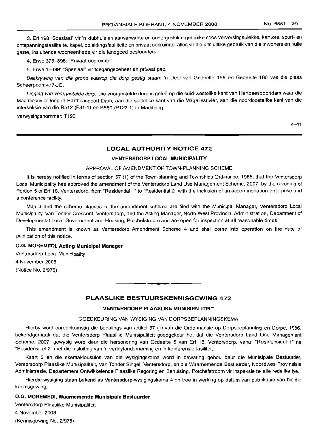3. Erf 198 "Spesiaal" vir 'n klubhuis en aanverwante en ondergeskikte gebruike soos verversingsplekke, kantore, sport- en ontspanningsfasiliteite, kapel, opleidingsfasiliteite en privaat oopruimte, alles vir die uitsluitlike gebruik van die inwoners en hulle gaste, insluitende wooneenhede vir die landgoed bestuurders.

4. Erwe 375-398: "Privaat oopruimte".

5. Erwe 1-399: "Spesiaal" vir toegangsbeheer en privaat pad.

Beskrywing van die grond waarop die dorp gestig staan: 'n Deel van Gedeelte 196 en Gedeelte 166 van die plaas Scheerpoort 477-JQ.

Ligging van voorgestelde dorp: Die voorgestelde dorp is geleë op die suid-westelike kant van Hartbeespoortdam waar die Magaliesrivier loop in Hartbeespoort Dam, aan die suidelike kant van die Magaliesrivier, aan die noordoostelike kant van die interseksie van die R512 (P31-1) en R560 (P122-1) in Madibeng.

Verwysingsnommer: T193

 $4 - 11$ 

## **LOCAL AUTHORITY NOTICE 472**

#### **VENTERSDORP LOCAL MUNICIPALITY**

## APPROVAL OF AMENDMENT OF TOWN-PLANNING SCHEME

It is hereby notified in terms of section 57 (1) of the Town-planning and Townships Ordinance, 1986, that the Ventersdorp Local Municipality has approved the amendment of the Ventersdorp Land Use Management Scheme, 2007, by the rezoning of Portion 5 of Erf 18, Ventersdorp, from "Residential 1" to "Residential 2" with the inclusion of an accommodation enterprise and a conference facility.

Map 3 and the scheme clauses of the amendment scheme are filed with the Municipal Manager, Ventersdorp Local Municipality, Van Tonder Crescent, Ventersdorp, and the Acting Manager, North West Provincial Administration, Department of Developmental Local Government and Housing, Potchefstroom and are open for inspection at all reasonable times.

This amendment is known as Ventersdorp Amendment Scheme 4 and shall come into operation on the date of publication of this notice.

#### O.G. **MOREMEDI, Acting Municipal Manager**

Ventersdorp Local Municipality 4 November 2008

(Notice No. 2/975)

## **PLAASLIKE BESTUURSKENNISGEWING 472**

**•**

#### **VENTERSDORP PLAASLIKE MUNISIPALITEIT**

## GOEDKEURING VAN WYSIGING VAN DORPSBEPLANNINGSKEMA

Hierby word ooreenkomstig die bepalings van artikel 57 (1) van die Ordonnansie op Dorpsbeplanning en Dorpe, 1986, bekendgemaak dat die Ventersdorp Plaaslike Munisipaliteit goedgekeur het dat die Ventersdorp Land Use Management Scheme, 2007, gewysig word deur die hersonering van Gedeelte 5 van Erf 18, Ventersdorp, vanaf "Residensieel 1" na "Residensieel 2" met die insluiting van 'n verblyfonderneming en 'n konferensie fasiliteit.

Kaart 3 en die skemaklousules van die wysigingskema word in bewaring gehou deur die Munisipale Bestuurder, Ventersdorp Plaaslike Munisipaliteit, Van Tonder Singel, Ventersdorp, en die Waarnemende Bestuurder, Noordwes Provinsiale Administrasie, Departement Ontwikkelende Plaaslike Regering en Behuising, Potchefstroom vir inspeksie te aile redelike tye.

Hierdie wysiging staan bekend as Ventersdorp-wysigingskema 4 en tree in werking op datum van publikasie van hierdie kennisgewing.

## O.G. **MOREMEDI, Waarnemende Munisipale Bestuurder**

Ventersdorp Plaaslike Munisipaliteit

4 November 2008

(Kennisgewing No. 2/975)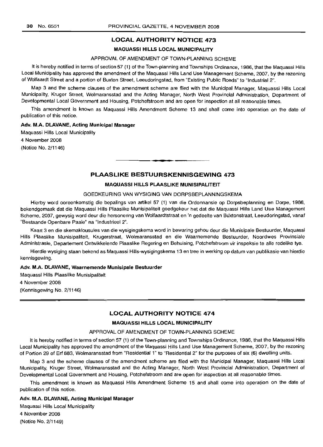## **LOCAL AUTHORITY NOTICE 473**

## **MAQUASSI HILLS LOCAL MUNICIPALITY**

## APPROVAL OF AMENDMENT OF TOWN-PLANNING SCHEME

It is hereby notified in terms of section 57 (1) of the Town-planning and Townships Ordinance, 1986, that the Maquassi Hills Local Municipality has approved the amendment of the Maquassi Hills Land Use Management Scheme, 2007, by the rezoning of Wolfaardt Street and a portion of Buxton Street, Leeudoringstad, from "Existing Public Roads" to "Industrial 2".

Map 3 and the scheme clauses of the amendment scheme are filed with the Municipal Manager, Maquassi Hills Local Municipality, Kruger Street, Wolmaransstad and the Acting Manager, North West Provincial Administration, Department of Developmental Local Government and Housing, Potchefstroom and are open for inspection at all reasonable times.

This amendment is known as Maquassi Hills Amendment Scheme 13 and shall come into operation on the date of publication of this notice.

#### **Adv. M.A. DLAVANE, Acting Municipal Manager**

Maquassi Hills Local Municipality 4 November 2008 (Notice No. 2/1146)

## **PLAASLIKE BESTUURSKENNISGEWING 473**

**•**

## **MAQUASSI HILLS PLAASLIKE MUNISIPALITEIT**

## GOEDKEURING VAN WYSIGING VAN DORPSBEPLANNINGSKEMA

Hierby word ooreenkomstig die bepalings van artikel 57 (1) van die Ordonnansie op Dorpsbeplanning en Dorpe, 1986, bekendgemaak dat die Maquassi Hills Plaaslike Munisipaliteit goedgekeur het dat die Maquassi Hills Land Use Management Scheme, 2007, gewysig word deur die hersonering van Wolfaardtstraat en 'n gedeelte van Blixtonstraat, Leeudoringstad, vanaf "Bestaande Openbare Paaie" na "Industrieel 2".

Kaart 3 en die skemaklousules van die wysigingskema word in bewaring gehou deur die Munisipale Bestuurder, Maquassi Hills Plaaslike Munisipaliteit, Krugerstraat, Wolmaransstad en die Waarnemende Bestuurder, Noordwes Provinsiale Administrasie, Departement Ontwikkelende Plaaslike Regering en Behuising, Potchefstroom vir inspeksie te aile redelike tye.

Hierdie wysiging staan bekend as Maquassi HiIIs-wysigingskema 13 en tree in werking op datum van publikasie van hierdie kennisgewing.

#### **Adv. M.A. DLAVANE, Waarnemende Munisipale Bestuurder**

Maquassi Hills Plaaslike Munisipaliteit 4 November 2008 (Kennisgewing No. 2/1146)

## **LOCAL AUTHORITY NOTICE 474**

## **MAQUASSI HILLS LOCAL MUNICIPALITY**

#### APPROVAL OF AMENDMENT OF TOWN-PLANNING SCHEME

It is hereby notified in terms of section 57 (1) of the Town-planning and Townships Ordinance, 1986, that the Maquassi Hills Local Municipality has approved the amendment of the Maquassi Hills Land Use Management Scheme, 2007, by the rezoning of Portion 29 of Erf 883, Wolmaransstad from "Residential 1" to "Residential 2" for the purposes of six (6) dwelling units.

Map 3 and the scheme clauses of the amendment scheme are filed with the Municipal Manager, Maquassi Hills Local Municipality, Kruger Street, Wolmaransstad and the Acting Manager, North West Provincial Administration, Department of Developmental Local Government and Housing, Potchefstroom and are open for inspection at all reasonable times.

This amendment is known as Maquassi Hills Amendment Scheme 15 and shall come into operation on the date of publication of this notice.

#### **Adv. M.A. DLAVANE, Acting Municipal Manager**

Maquassi Hills Local Municipality 4 November 2008 (Notice No. 2/1149)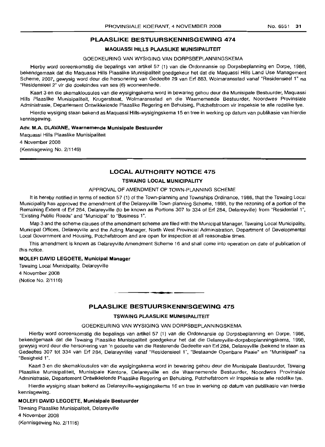## **PLAASLIKE BESTUURSKENNISGEWING 474**

## **MAQUASSI HILLS PLAASLIKE MUNISIPALITEIT**

## GOEDKEURING VAN WYSIGING VAN DORPSBEPLANNINGSKEMA

Hierby word ooreenkomstig die bepalings van artikel 57 (1) van die Ordonnansie op Dorpsbeplanning en Dorpe, 1986, bekendgemaak dat die Maquassi Hills Plaaslike Munisipaliteit goedgekeur het dat die Maquassi Hills Land Use Management Scheme, 2007, gewysig word deur die hersonering van Gedeelte 29 van Erf 883, Wolmaransstad vanaf "Residensieel 1" na "Residensieel 2" vir die doeleindes van ses (6) wooneenhede.

Kaart 3 en die skemaklousules van die wysigingskema word in bewaring gehou deur die Munisipale Bestuurder, Maquassi Hills Plaaslike Munisipaliteit, Krugerstraat, Wolmaransstad en die Waarnemende Bestuurder, Noordwes Provinsiale Administrasie, Departement Ontwikkelende Plaaslike Regering en Behuising, Potchefstroom vir inspeksie te aile redelike tye.

Hierdie wysiging staan bekend as Maquassi Hills-wysigingskema 15 en tree in werking op datum *van* publikasie van hierdie kennisgewing.

#### **Adv. M.A. DLAVANE, Waarnemende Munisipale Bestuurder**

Maquassi Hills Plaaslike Munisipaliteit 4 November 2008 (Kennisgewing No. 2/1149)

## **LOCAL AUTHORITY NOTICE 475**

## **TSWAING LOCAL MUNICIPALITY**

## APPROVAL OF AMENDMENT OF TOWN-PLANNING SCHEME

It is hereby notified in terms of section 57 (1) of the Town-planning and Townships Ordinance, 1986, that the Tswaing Local Municipality has approved the amendment of the Delareyville Town-planning Scheme, 1998, by the rezoning of a portion of the Remaining Extent of Erf 284, Delareyville (to be known as Portions 307 to 334 of Erf 284, Delareyville) from "Residential 1", "Existing Public Roads" and "Municipal" to "Business 1".

Map 3 and the scheme clauses of the amendment scheme are filed with the Municipal Manager, Tswaing Local Municipality, Municipal Offices, Delareyville and the Acting Manager, North West Provincial Administration, Department of Developmental Local Government and Housing, Potchefstroom and are open for inspection at all reasonable times.

This amendment is known as Delareyville Amendment Scheme 16 and shall come into operation on date of publication of this notice.

## **MOLEFI DAVID LEGOETE, Municipal Manager**

Tswaing Local Municipality, Delareyville 4 November 2008 (Notice No. 2/1116)

## **PLAASLIKE BESTUURSKENNISGEWING 475**

**• •**

## **TSWAING PLAASLIKE MUNISIPALITEIT**

### GOEDKEURING VAN WYSIGING VAN DORPSBEPLANNINGSKEMA

Hierby word ooreenkomstig die bepalings van artikel 57 (1) van die Ordonnansie op Dorpsbeplanning en Dorpe, 1986, bekendgemaak dat die Tswaing Plaaslike Munisipaliteit goedgekeur het dat die Delareyville-dorpsbeplanningskema, 1998, gewysig word deur die hersonering van 'n gedeelte van die Resterende Gedeelte van Erf 284, Delareyville (bekend te staan as Gedeeltes 307 tot 334 van Erf 284, Delareyville) vanaf "Residensieel 1", "Bestaande Openbare Paaie" en "Munisipaal" na "Besigheid 1".

Kaart 3 en die skemaklousules van die wysigingskema word in bewaring gehou deur die Munisipale Bestuurder, Tswaing Plaaslike Munisipaliteit, Munisipale Kantore, Delareyville en die Waarnemende Bestuurder, Noordwes Provinsiale Administrasie, Departement Ontwikkelende Plaaslike Regering en Behuising, Potchefstroom vir inspeksie te aile redelike tye.

Hierdie wysiging staan bekend as Delareyville-wysigingskema 16 en tree in werking op datum van publikasie van hierdie kennisgewing.

## **MOLEFI DAVID LEGOETE, Munisipale Bestuurder**

Tswaing Plaaslike Munisipaliteit, Delareyville

4 November 2008 (Kennisgewing No. 2/1116)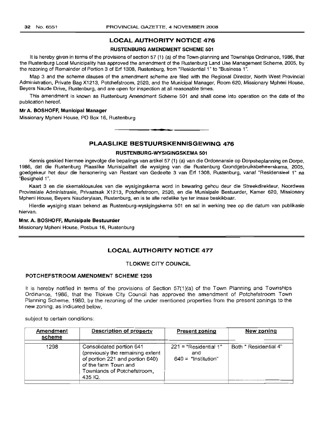## LOCAL AUTHORITY NOTICE 476

#### RUSTENBURG AMENDMENT SCHEME 501

It is hereby given in terms of the provisions of section 57 (1) (a) of the Town-planning and Townships Ordinance, 1986, that the Rustenburg Local Municipality has approved the amendment of the Rustenburg Land Use Management Scheme, 2005, by the rezoning of Remainder of Portion 3 of Erf 1308, Rustenburg, from "Residential 1" to "Business 1".

Map 3 and the scheme clauses of the amendment scheme are filed with the Regional Director, North West Provincial Administration, Private Bag X1213, Potchefstroom, 2520, and the Municipal Manager, Room 620, Missionary Mpheni House, Beyers Naude Drive, Rustenburg, and are open for inspection at all reasonable times.

This amendment is known as Rustenburg Amendment Scheme 501 and shall come into operation on the date of the publication hereof.

## Mr A. BOSHOFF, Municipal Manager

Missionary Mpheni House, PO Box 16, Rustenburg

## PLAASLIKE BESTUURSKENNISGEWING 476

.**- .**

## RUSTENBURG-WYSIGINGSKEMA 501

Kennis geskied hiermee ingevolge die bepalings van artikel 57 (1) (a) van die Ordonnansie op Dorpsbeplanning en Dorpe, 1986, dat die Rustenburg Plaaslike Munisipaliteit die wysiging van die Rustenburg Grondgebruiksbeheerskema, 2005, goedgekeur het deur die hersonering van Restant van Gedeelte 3 van Erf 1308, Rustenburg, vanaf "Residensieel 1" na "Besigheid 1".

Kaart 3 en die skemaklousules van die wysigingskema word in bewaring gehou deur die Streekdirekteur, Noordwes Provinsiale Administrasie, Privaatsak X1213, Potchefstroom, 2520, en die Munisipale Bestuurder, Kamer 620, Missionary Mpheni House, Beyers Nauderylaan, Rustenburg, en is te aile redelike tye ter insae beskikbaar.

Hierdie wysiging staan bekend as Rustenburg-wysigingskema 501 en sal in werking tree op die datum van publikasie hiervan.

#### Mnr. A. BOSHOFF, Munisipale Bestuurder

Missionary Mpheni House, Posbus 16, Rustenburg

## LOCAL AUTHORITY NOTICE 477

## TLOKWE CITY COUNCIL

#### POTCHEFSTROOM AMENDMENT SCHEME 1298

It is hereby notified in terms of the provisions of Section 57(1)(a) of the Town Planning and Townships Ordinance, 1986, that the Tlokwe City Council has approved the amendment of Potchefstroom Town Planning Scheme, 1980, by the rezoning of the under mentioned properties from the present zonings to the new zoning, as indicated below,

subject to certain conditions:

| Amendment<br>scheme | Description of property                                                                                                                                           | <b>Present zoning</b>                                   | New zoning            |
|---------------------|-------------------------------------------------------------------------------------------------------------------------------------------------------------------|---------------------------------------------------------|-----------------------|
| 1298                | Consolidated portion 641<br>(previously the remaining extent<br>of portion 221 and portion 640)<br>of the farm Town and<br>Townlands of Potchefstroom,<br>435 IQ. | $221$ = "Residential 1"<br>and<br>$640 =$ "Institution" | Both " Residential 4" |
|                     |                                                                                                                                                                   |                                                         |                       |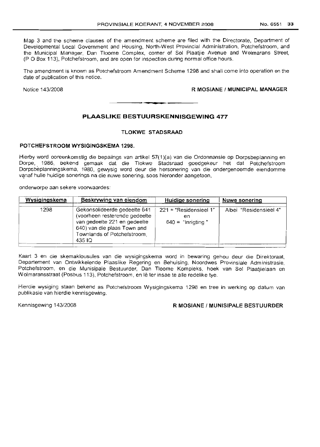Map 3 and the scheme clauses of the amendment scheme are filed with the Directorate, Department of Developmental Local Government and Housing, North-West Provincial Administration, Potchefstroom, and the Municipal Manager, Dan Tloome Complex, corner of Sol Plaatjie Avenue and Wolmarans Street, (P 0 Box 113), Potchefstroom, and are open for inspection during normal office hours.

The amendment is known as Potchefstroom Amendment Scheme 1298 and shall come into operation on the date of publication of this notice.

## Notice 143/2008 **R MOSIANE / MUNICIPAL MANAGER**

## **PLAASLIKE BESTULIRSKENNISGEWING 477**

.**-.**

## **TLOKWE STADSRAAD**

## **POTCHEFSTROOM WYSIGINGSKEMA 1298.**

Hierby word ooreenkomstig die bepalings van artikel 57(1 )(a) van die Ordonnansie op Dorpsbeplanning en Dorpe, 1986, bekend gemaak dat die Tlokwe Stadsraad goedgekeur het dat Potchefstroom Dorpsbeplanninqskerna, 1980, gewysig word deur die hersonering van die ondergenoemde eiendomme vanaf hulle huidige sonerings na die nuwe sonering, soos hieronder aangetoon,

onderworpe aan sekere voorwaardes:

| Wysigingskema | Beskrywing van eiendom                                                                                                                                                | Huidige sonering                                    | Nuwe sonering          |
|---------------|-----------------------------------------------------------------------------------------------------------------------------------------------------------------------|-----------------------------------------------------|------------------------|
| 1298          | Gekonsolideerde gedeelte 641<br>(voorheen resterende gedeelte<br>van gedeelte 221 en gedeelte<br>640) van die plaas Town and<br>Townlands of Potchefstroom,<br>435 IQ | 221 = "Residensieel 1"<br>en<br>$640 =$ "Inrigting" | Albei "Residensieel 4" |

Kaart 3 en die skemaklousules van die wysigingskema word in bewaring gehou deur die Direktoraat, Departement van Ontwikkelende Plaaslike Regering en Behuising, Noordwes Provinsiale Administrasie, Potchefstroom, en die Munisipale Bestuurder, Dan Tloome Kompleks, hoek van Sol Plaaljielaan en Wolmaransstraat (Posbus 113), Potchefstroom, en lê ter insae te alle redelike tye.

Hierdie wysiging staan bekend as Potchefstroom Wysigingskema 1298 en tree in werking op datum van publikasie van hierdie kennisgewing.

## Kennisgewing 143/2008 **R MOSIANE / MUNISIPALE BESTUURDER**